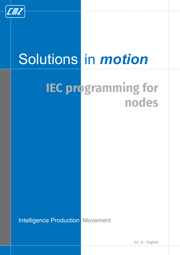

# Solutions in *motion*

## **IEC programming for nodes**

**Intelligence Production Movement** 

**Ed. 13 - English**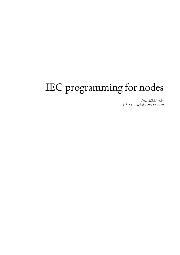## IEC programming for nodes

*Doc. MS270928 Ed. 13 - English - 28 Oct 2020*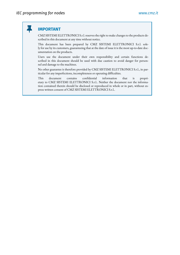Ш

#### **IMPORTANT**

CMZ SISTEMI ELETTRONICI S.r.l. reserves the right to make changes to the products described in this document at any time without notice.

This document has been prepared by CMZ SISTEMI ELETTRONICI S.r.l. solely for use by its customers, guaranteeing that at the date of issue it is the most up-to-date documentation on the products.

Users use the document under their own responsibility and certain functions described in this document should be used with due caution to avoid danger for personnel and damage to the machines.

No other guarantee is therefore provided by CMZ SISTEMI ELETTRONICI S.r.l., in particular for any imperfections, incompleteness or operating difficulties.

This document contains confidential information that is proprietary to CMZ SISTEMI ELETTRONICI S.r.l.. Neither the document nor the information contained therein should be disclosed or reproduced in whole or in part, without express written consent of CMZ SISTEMI ELETTRONICI S.r.l..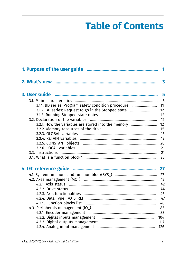## **Table of Contents**

| 3.1.1. BD series: Program safety condition procedure  11 |     |
|----------------------------------------------------------|-----|
| 3.1.2. BD series: Request to go in the Stopped state     | 12  |
|                                                          | 12  |
| 3.2. Declaration of the variables                        |     |
| 3.2.1. How the variables are stored into the memory      | 12  |
|                                                          | 15  |
|                                                          | 16  |
|                                                          | 19  |
|                                                          | 20  |
|                                                          | 21  |
|                                                          |     |
|                                                          | 23  |
|                                                          |     |
|                                                          | 27  |
|                                                          | 42  |
|                                                          | 42  |
|                                                          | 44  |
|                                                          |     |
|                                                          |     |
|                                                          |     |
|                                                          | 83  |
|                                                          | 83  |
|                                                          | 104 |
|                                                          | 117 |
|                                                          | 126 |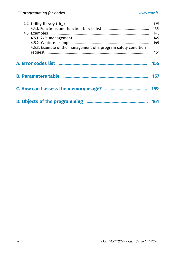| 4.5.3. Example of the management of a program safety condition | 135<br>135<br>145<br>145<br>149<br>151 |
|----------------------------------------------------------------|----------------------------------------|
|                                                                | 155                                    |
|                                                                | 157                                    |
|                                                                | 159                                    |
|                                                                | 161                                    |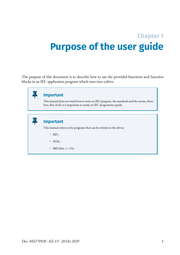## <span id="page-6-0"></span>**Chapter 1 Purpose of the user guide**

The purpose of this document is to describe how to use the provided functions and function blocks in an IEC application program which runs into a drive.

| <b>Important</b><br>This manual does not teach how to write an IEC program, the standards and the syntax, there-<br>fore, first of all, it is important to study an IEC programmer guide. |
|-------------------------------------------------------------------------------------------------------------------------------------------------------------------------------------------|
| <b>Important</b><br>This manual refers to the programs that can be written in the drives:<br>$\cdot$ ISD;<br>$\cdot$ SVM;<br>$IBD$ (Hw >= 15);                                            |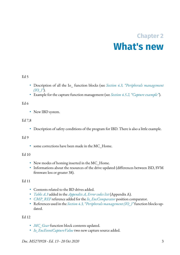## **Chapter 2 What's new**

#### <span id="page-8-0"></span>Ed 5

- Description of all the Io\_ function blocks (see *[Section 4.3, "Peripherals management](#page-88-0) [\(IO\\_\)"](#page-88-0)*).
- Example for the capture function management (see *[Section 4.5.2, "Capture example"](#page-154-0)*).

#### Ed 6

• New IBD system.

#### Ed 7,8

• Description of safety conditions of the program for IBD. There is also a little example.

#### Ed 9

• some corrections have been made in the MC\_Home.

#### Ed 10

- New modes of homing inserted in the MC\_Home.
- Informations about the resources of the drive updated (differences between ISD, SVM firmware less or greater 38).

#### Ed 11

- Contents related to the BD drives added.
- *[Table A.3](#page-161-0)* added in the *[Appendix A, Error](#page-160-0) codes list* (Appendix A).
- *[CMP\\_REF](#page-91-0)* reference added for the *[Io\\_EncComparator](#page-108-0)* position comparator.
- References used in the *[Section 4.3, "Peripherals management \(IO\\_\)"](#page-88-0)*function blocks updated.

#### Ed 12

- *[MC\\_Gear](#page-56-0)* function block contents updated.
- *[Io\\_EncEventCaptureValue](#page-105-0)* two new capture source added.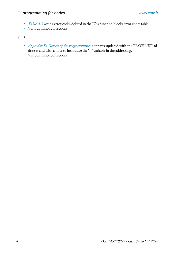- *[Table A.3](#page-161-0)* wrong error codes deleted in the IO's function blocks error codes table.
- Various minor corrections.

Ed 13

- *[Appendix D, Objects](#page-166-0) of the programming*: contents updated with the PROFINET addresses and with a note to introduce the "n" variable in the addressing.
- Various minor corrections.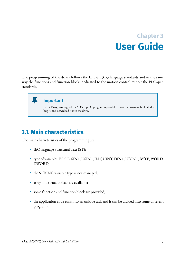## **Chapter 3 User Guide**

<span id="page-10-0"></span>The programming of the drives follows the IEC 61131-3 language standards and in the same way the functions and function blocks dedicated to the motion control respect the PLCopen standards.

#### **Important**

In the **Program** page of the SDSetup PC program is possible to write a program, build it, debug it, and download it into the drive.

## <span id="page-10-1"></span>**3.1. Main characteristics**

The main characteristics of the programming are:

- IEC language Structural Text (ST);
- type of variables: BOOL, SINT, USINT, INT, UINT, DINT, UDINT, BYTE, WORD, DWORD;
- the STRING variable type is not managed;
- array and struct objects are available;
- some function and function block are provided;
- the application code runs into an unique task and it can be divided into some different programs: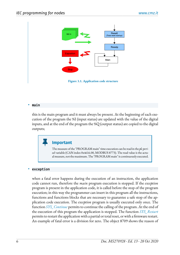

**Figure 3.1. Application code structure**

#### • **main**

this is the main program and it must always be present. At the beginning of each execution of the program the %I (input status) are updated with the value of the digital inputs, and at the end of the program the  $\%Q$  (output status) are copied to the digital outputs;

#### **Important**

The measure of the "PROGRAM main" time execution can be read in the *plc period* variable (CAN index 0x4616.00, MODBUS 8773). The read value is the actual measure, not the maximum. The "PROGRAM main" is continuously executed.

#### • **exception**

when a fatal error happens during the execution of an instruction, the application code cannot run, therefore the *main* program execution is stopped. If the *exception* program is present in the application code, it is called before the stop of the program execution; in this way the programmer can insert in this program all the instructions, functions and functions blocks that are necessary to guarantee a safe stop of the application code execution. The *exception* program is usually executed only once. The function *[SYS\\_Continue](#page-41-0)* permits to continue the calling of the program. At the end of the execution of this program the application is stopped. The function *[SYS\\_Restart](#page-39-0)* permits to restart the application with a partial or total reset, or with a firmware restart. An example of fatal error is a division for zero. The object 8709 shows the reason of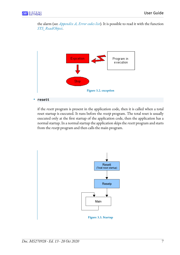the alarm (see *[Appendix A, Error](#page-160-0) codes list*). It is possible to read it with the function *[SYS\\_ReadObject](#page-38-0)*.



#### • **resett**

if the *resett* program is present in the application code, then it is called when a total reset startup is executed. It runs before the *resetp* program. The total reset is usually executed only at the first startup of the application code, then the application has a normal startup. In a normal startup the application skips the *resett* program and starts from the *resetp* program and then calls the main program.

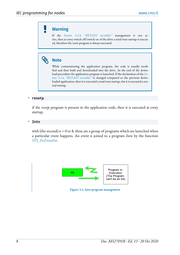#### **Warning**

If the *[Section 3.2.4, "RETAIN variables"](#page-24-0)* management is not active, then at every switch off/switch on of the drive a total reset startup is executed, therefore the *resett* program is always executed.

### **Note**

While commissioning the application program, the code is usually modified and then built and downloaded into the drive. At the end of the download procedure the application program is launched. If the declaration of the *[Sec](#page-24-0)[tion 3.2.4, "RETAIN variables"](#page-24-0)* is changed compared to the previous downloaded application, then it is executed a total reset startup, else it is executed a normal startup.

#### • **resetp**

if the *resetp* program is present in the application code, then it is executed at every startup.

#### • **Intn**

with (the second)  $n = 0$  to 8, these are a group of programs which are launched when a particular event happens. An event is joined to a program *Intn* by the function *[SYS\\_EnEventInt](#page-33-0)*.



**Figure 3.4. Intn program management**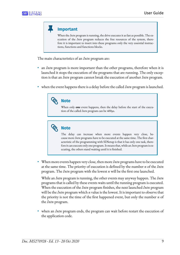**Important**

When the *Intn* program is running, the drive executes it as fast as possible. The execution of the *Intn* program reduces the free resources of the system, therefore it is important to insert into these programs only the very essential instructions, functions and functions blocks.

The main characteristics of an *Intn* program are:

- an *Intn* program is more important than the other programs, therefore when it is launched it stops the execution of the programs that are running. The only exception is that an *Intn* program cannot break the execution of another *Intn* program.
- when the event happens there is a delay before the called *Intn* program is launched.



When only **one** event happens, then the delay before the start of the execution of the called *Intn* program can be 400µs.



The delay can increase when more events happen very close, because more *Intn* programs have to be executed at the same time. The first characteristic of the programming with SDSetup is that it has only one task, therefore it can execute only one program. It means that, while an *Intn* program is executing, the others stand waiting until it is finished.

• When more events happen very close, then more *Intn* programs have to be executed at the same time. The priority of execution is defined by the number *n* of the *Intn* program. The *Intn* program with the lowest *n* will be the first one launched.

While an *Intn* program is running, the otherevents may anyway happen. The*Intn* programs that is called by these events waits until the running program is executed. When the execution of the *Intn* program finishes, the next launched *Intn* program will be the *Intn* program which *n* value is the lowest. It is important to observe that the priority is not the time of the first happened event, but only the number  $n$  of the *Intn* program.

• when an *Intn* program ends, the program can wait before restart the execution of the application code.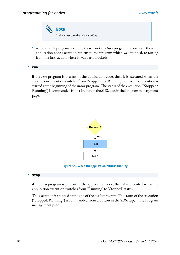**Note** In the worst case the delay is 400µs.

• when an *Intn* program ends, and there is not any *Intn* program still on hold, then the application code execution returns to the program which was stopped, restarting from the instruction where it was been blocked;

• **run**

if the *run* program is present in the application code, then it is executed when the application execution switches from "Stopped" to "Running" status. The execution is started at the beginning of the *main* program. The status of the execution ("Stopped/ Running") is commanded from a button in the SDSetup, in the Program management page.



**Figure 3.5. When the application returns running**

#### • **stop**

if the *stop* program is present in the application code, then it is executed when the application execution switches from "Running" to "Stopped" status.

The execution is stopped at the end of the *main* program. The status of the execution ("Stopped/Running") is commanded from a button in the SDSetup, in the Program management page.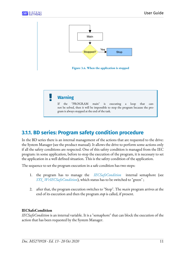

## <span id="page-16-0"></span>**3.1.1. BD series: Program safety condition procedure**

In the BD series there is an internal management of the actions that are requested to the drive: the System Manager (see the product manual). It allows the drive to perform some actions only if all the safety conditions are respected. One of this safety condition is managed from the IEC program: in some application, before to stop the execution of the program, it is necessary to set the application in a well defined situation. This is the safety condition of the application.

The sequence to set the program execution in a safe condition has two steps:

- 1. the program has to manage the *[IECSafeCondition](#page-16-1)* internal semaphore (see *SYS WrIECSafeCondition*), which status has to be switched to "green" ;
- 2. after that, the program execution switches to "Stop". The *main* program arrives at the end of its execution and then the program *stop* is called, if present.

#### <span id="page-16-1"></span>**IECSafeCondition**

*IECSafeCondition* is an internal variable. It is a "semaphore" that can block the execution of the action that has been requested by the System Manager.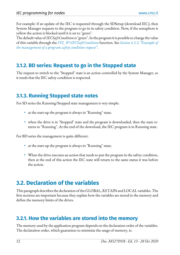For example: if an update of the IEC is requested through the SDSetup (download IEC), then System Manager requests to the program to go in its safety condition. Now, if the semaphore is yellow the action is blocked until it is set to "green".

The default value of *IECSafeCondition* is"green".In the programitis possibleto changethe value of this variable through the *[SYS\\_WrIECSafeCondition](#page-46-0)* function. See *[Section 4.5.3, "Example of](#page-156-0) the [management](#page-156-0) of a program safety condition request"*.

### <span id="page-17-0"></span>**3.1.2. BD series: Request to go in the Stopped state**

<span id="page-17-1"></span>The request to switch to the "Stopped" state is an action controlled by the System Manager, so it needs that the IEC safety condition is respected.

## **3.1.3. Running Stopped state notes**

For SD series the Running/Stopped state management is very simple:

- at the start-up the program is always in "Running" state;
- when the drive is in "Stopped" state and the program is downloaded, then the state returns to "Running". At the end of the download, the IEC program is in Running state.

For BD series the management is quite different:

- at the start-up the program is always in "Running" state;
- When the drive executes an action that needs to put the program in the safety condition, then at the end of this action the IEC state will return to the same status it was before the action.

## <span id="page-17-2"></span>**3.2. Declaration of the variables**

This paragraph describes the declaration of the GLOBAL, RETAIN and LOCAL variables. The first sections are important because they explain how the variables are stored in the memory and define the memory limits of the drives.

## <span id="page-17-3"></span>**3.2.1. How the variables are stored into the memory**

The memory used by the application program depends on the declaration order of the variables. The declaration order, which guarantees to minimize the usage of memory, is: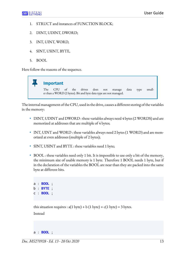- 1. STRUCT and instances of FUNCTION BLOCK;
- 2. DINT, UDINT, DWORD;
- 3. INT, UINT, WORD,
- 4. SINT, USINT, BYTE,
- 5. BOOL

Here follow the reasons of the sequence.

#### Ш **Important** The CPU of the drives does not manage data type smaller than a WORD (2 bytes). Bit and byte data type are not managed.

The internal management of the CPU, used in the drive, causes a different storing of the variables in the memory:

- DINT, UDINT and DWORD : these variables always need 4 bytes (2 WORDS) and are memorized at addresses that are multiple of 4 bytes;
- INT, UINT and WORD : these variables always need 2 bytes (1 WORD) and are memorized at even addresses (multiple of 2 bytes);
- SINT, USINT and BYTE : these variables need 1 byte;
- BOOL : these variables need only 1 bit. It is impossible to use only a bit of the memory, the minimum size of usable memory is 1 byte. Therefore 1 BOOL needs 1 byte, but if in the declaration of the variables the BOOL are near than they are packed into the same byte at different bits.

```
a : BOOL ;
b : BYTE ;
c : BOOL ;
```
this situation requires :  $a(1 \text{ byte}) + b(1 \text{ byte}) + c(1 \text{ byte}) = 3 \text{ bytes}.$ 

Instead

#### a : **BOOL** ;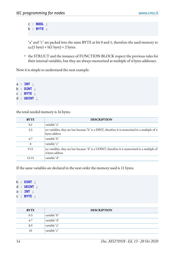c : **BOOL** ; b : **BYTE** ;

"a" and "c" are packed into the same BYTE at bit 0 and 1, therefore the used memory is:  $a, c(1 byte) + b(1 byte) = 2 bytes.$ 

• the STRUCT and the instance of FUNCTION BLOCK respect the previous rules for their internal variables, but they are always memorized at multiple of 4 bytes addresses.

Now it is simple to understand the next example:

a : **INT** ; b : **DINT** ; c : **BYTE** ; d : **UDINT** ;

the total needed memory is 16 bytes:

| <b>BYTE</b> | <b>DESCRIPTION</b>                                                                                                |
|-------------|-------------------------------------------------------------------------------------------------------------------|
| 0,1         | variable "a"                                                                                                      |
| 2,3         | no variables, they are lost because "b" is a DINT, therefore it is memorized in a multiple of 4<br>bytes address  |
| $4 - 7$     | variable "b"                                                                                                      |
| 8           | variable "c"                                                                                                      |
| $9-11$      | no variables, they are lost because "d" is a UDINT, therefore it is memorized in a multiple of<br>4 bytes address |
| $12 - 15$   | variable "d"                                                                                                      |

If the same variables are declared in the next order the memory used is 11 bytes:

b : **DINT** ; d : **UDINT** ; a : **INT** ; c : **BYTE** ;

| <b>BYTE</b> | <b>DESCRIPTION</b> |
|-------------|--------------------|
| $0 - 3$     | variable "b"       |
| $4-7$       | variable "d"       |
| 8,9         | variable "a"       |
| 10          | variable "c"       |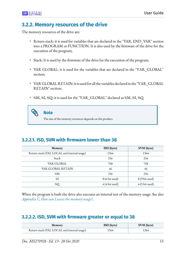### <span id="page-20-0"></span>**3.2.2. Memory resources of the drive**

The memory resources of the drive are:

- Return stack: it is used for variables that are declared in the "VAR, END VAR" section into a PROGRAM or FUNCTION. It is also used by the firmware of the drive for the execution of the program;
- Stack: It is used by the firmware of the drive for the execution of the program;
- VAR GLOBAL: it is used for the variables that are declared in the "VAR\_GLOBAL" section;
- VAR GLOBAL RETAIN: it is used for all the variables declared in the "VAR\_GLOBAL RETAIN" section;
- %M, %I, %Q: it is used for the "VAR\_GLOBAL" declared as %M, %I, %Q.

**Note**

The size of the memory resources depends on the product.

#### **3.2.2.1. ISD, SVM with firmware lower than 38**

| Memory                                      | ISD (byte)              | SVM (byte)     |
|---------------------------------------------|-------------------------|----------------|
| Return stack (VAL LOCAL and internal usage) | 1364                    | 1364           |
| Stack                                       | 256                     | 256            |
| VAR GLOBAL                                  | 768                     | 768            |
| VAR GLOBAL RETAIN                           | 46                      | 46             |
| %M                                          | 256                     | 256            |
| %I                                          | 8 (6 bit used)          | 8 (9 bit used) |
| %Q                                          | $4(4 \text{ bit used})$ | 4 (5 bit used) |

When the program is built the drive also executes an internal test of the memory usage. See also *[Appendix C, How](#page-164-0) can I assess the memory usage?*.

### **3.2.2.2. ISD, SVM with firmware greater or equal to 38**

| <b>Memory</b>                               | <b>ISD</b> (byte) | SVM (byte) |
|---------------------------------------------|-------------------|------------|
| Return stack (VAL LOCAL and internal usage) | 1364              | 1364       |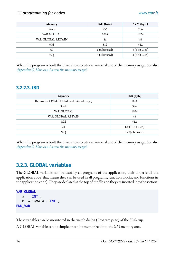| Memory            | ISD (byte)              | SVM (byte)              |
|-------------------|-------------------------|-------------------------|
| Stack             | 256                     | 256                     |
| VAR GLOBAL        | 1024                    | 1024                    |
| VAR GLOBAL RETAIN | 46                      | 46                      |
| %M                | 512                     | 512                     |
| $\%$ I            | 8 (6 bit used)          | 8 (9 bit used)          |
| %Q                | $4(4 \text{ bit used})$ | $4(5 \text{ bit used})$ |

When the program is built the drive also executes an internal test of the memory usage. See also *[Appendix C, How](#page-164-0) can I assess the memory usage?*.

#### **3.2.2.3. IBD**

| Memory                                      | <b>IBD</b> (byte) |
|---------------------------------------------|-------------------|
| Return stack (VAL LOCAL and internal usage) | 1868              |
| Stack                                       | 384               |
| VAR GLOBAL                                  | 1076              |
| VAR GLOBAL RETAIN                           | 46                |
| %M                                          | 512               |
| %I                                          | 128(10 bit used)  |
| %Q                                          | 128(7 bit used)   |

<span id="page-21-0"></span>When the program is built the drive also executes an internal test of the memory usage. See also *[Appendix C, How](#page-164-0) can I assess the memory usage?*.

### **3.2.3. GLOBAL variables**

The GLOBAL variables can be used by all programs of the application, their target is all the application code (that means they can be used in all programs, function blocks, and functions in the application code). They are declared at the top of the file and they are inserted into the section:

```
VAR_GLOBAL
    a : INT ;
    b AT %MW10 : INT ;
END_VAR
```
These variables can be monitored in the watch dialog (Program page) of the SDSetup.

A GLOBAL variable can be simple or can be memorized into the %M memory area.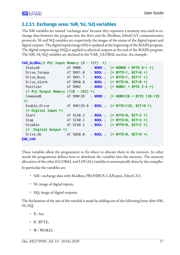#### **3.2.3.1. Exchange area: %M, %I, %Q variables**

The %M variables are named "exchange area" because they represent a memory area used to exchange data between the program into the drive and the Modbus, EtherCAT communication protocols. %I and %Q variables are respectively the images of the status of the digital inputs and digital outputs. The digital inputs image (%I) is updated at the beginning of the MAIN program. The digital output image (%Q) is applied to physical outputs at the end of the MAIN program. The %M, %I, %Q variables are declared in the VAR\_GLOBAL section. An example:

```
VAR_GLOBAL(* PLC Input Memory (0 - 127) *)
  Status0 AT %MW0 : WORD ; (* WORD0 = BYTE 0-1 *)
  Drive_Torque AT %MX1.0 : BOOL ; (* BYTE=1, BIT=0 *)
  Drive_Busy AT %MX1.7 : BOOL ; (* BYTE=1, BIT=7 *)
  Drive_Alarm AT %MX0.0 : BOOL ; (* BYTE=0, BIT=0 *)
  Position AT %MW2 : WORD ; (* WORD1 = BYTE 2-3 *)
  (* PLC Output Memory (128 - 255) *)
  Command0 AT %MW128 : WORD ; (* WORD128 = BYTE 128-129
 *)
  Enable_Drive AT %MX129.0 : BOOL ; (* BYTE=129, BIT=0 *)
  (* Digital Input *)
  Start AT %IX0.2 : BOOL ; (* BYTE=0, BIT=2 *)
  Stop AT %IX0.3 : BOOL ; (* BYTE=0, BIT=3 *)
  Disable AT %IX0.2 : BOOL ; (* BYTE=0, BIT=2 *)
  (* Digital Output *)
  Drive_Ok AT %QX0.0 : BOOL ; (* BYTE=0, BIT=0 *)
END_VAR
```
These variables allow the programmer to fix where to allocate them in the memory. In other words the programmer defines how to distribute the variables into the memory. The memory allocation of the other (GLOBAL and LOCAL) variables is automatically done by the compiler.

In particular the variables are:

- %M : exchange data with Modbus, PROFIBUS, CANopen, EtherCAT;
- *%I*: image of digital inputs;
- %Q: image of digital outputs;

The declaration of the size of the variable is made by adding one of the following letter after %M,  $\%I, \%Q$ :

- X: bit;
- $B$  : BYTE;
- W : WORD;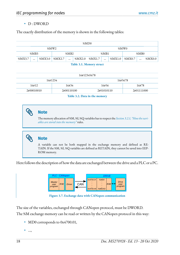#### • D: DWORD

The exactly distribution of the memory is shown in the following tables:

| %MD0    |          |        |        |          |        |        |          |        |        |          |        |
|---------|----------|--------|--------|----------|--------|--------|----------|--------|--------|----------|--------|
| %MW2    |          |        |        |          |        |        | %MW0     |        |        |          |        |
| % $MB3$ |          |        | %MB2   |          |        | %MB1   |          |        | %MB0   |          |        |
| %MX3.7  | $\cdots$ | %MX3.0 | %MX2.7 | $\cdots$ | %MX2.0 | %MX1.7 | $\cdots$ | %MX1.0 | %MX0.7 | $\cdots$ | %MX0.0 |

**Table 3.1. Memory struct**

| 16#12345678 |            |            |            |  |  |
|-------------|------------|------------|------------|--|--|
|             | 16#1234    |            | 16#5678    |  |  |
| 16#12       | 16#34      | 16#56      | 16#78      |  |  |
| 2#00010010  | 2#00110100 | 2#01010110 | 2#01111000 |  |  |

**Table 3.2. Data in the memory**

## **Note**

The memory allocation of %M, %I, %Q variables has to respect the *[Section 3.2.1, "Howthe](#page-17-3) variables are stored into the [memory"](#page-17-3)* rules.

### **Note**

A variable can not be both mapped in the exchange memory and defined as RE-TAIN. If the %M, %I, %Q variables are defined as RETAIN, they cannot be saved into EEP-ROM memory.

Here follows the description of how the data are exchanged between the drive and a PLC or a PC.



**Figure 3.7. Exchange data with CANopen communication**

The size of the variables, exchanged through CANopen protocol, must be DWORD. The %M exchange memory can be read or written by the CANopen protocol in this way:

- MD0 corresponds to 0x4700.01,
- ...,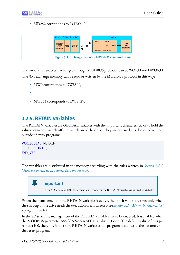• MD252 corresponds to 0x4700.40.



**Figure 3.8. Exchange data with MODBUS communication**

The size of the variables, exchanged through MODBUS protocol, can be WORD and DWORD. The %M exchange memory can be read or written by the MODBUS protocol in this way:

- MW0 corresponds to DW8800,
- ....
- <span id="page-24-0"></span>• MW254 corresponds to DW8927.

### **3.2.4. RETAIN variables**

The RETAIN variables are GLOBAL variables with the important characteristic of to hold the values between a switch off and switch on of the drive. They are declared in a dedicated section, outside of every program:

```
VAR_GLOBAL RETAIN
    r : INT ;
END_VAR
```
The variables are distributed in the memory according with the rules written in *[Section 3.2.1,](#page-17-3) "How the variables are stored into the [memory"](#page-17-3)*.

## **Important**

In the SD series and IBD the available memory for the RETAIN variables is limited to 46 byte.

When the management of the RETAIN variables is active, then their values are reset only when the start-up of the drive needs the execution of a total reset (see *[Section 3.1, "Main](#page-10-1) characteristics"* - program resett).

In the SD series the management of the RETAIN variables has to be enabled. It is enabled when the MODBUS parameter 588 (CANopen 5FF0.9) value is 1 or 3. The default value of this parameter is 0, therefore if there are RETAIN variables the program has to write the parameter in the resett program.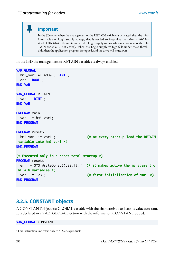#### **Important**

In the SD series, when the management of the RETAIN variables is activated, then the minimum value of Logic supply voltage, that is needed to keep alive the drive, is 40V instead of 20V (that is the minimum needed Logic supply voltage when management of the RE-TAIN variables is not active). When the Logic supply voltage falls under these thresholds, then the application program is stopped, and the drive will shutdown.

In the IBD the management of RETAIN variables is always enabled.

```
VAR_GLOBAL
   hmi_var1 AT %MD0 : DINT ;
   err : BOOL ;
END_VAR
VAR_GLOBAL RETAIN
   var1 : DINT ;
END_VAR
PROGRAM main
  var1 := hmi var1:
END_PROGRAM
PROGRAM resetp
   hmi_var1 := var1 ; (* at every startup load the RETAIN
 variable into hmi_var1 *)
END_PROGRAM
(* Executed only in a reset total startup *)
PROGRAM resett
err := SYS_WriteObject(588,1); 1 + 1 (* it makes active the management of
 RETAIN variables *)
  var1 := 123 ; (* first initialization of var1 *)
END_PROGRAM
```
### <span id="page-25-0"></span>**3.2.5. CONSTANT objects**

A CONSTANT object isa GLOBAL variable with the characteristic to keep its value constant. It is declared in a VAR\_GLOBAL section with the information CONSTANT added.

#### **VAR\_GLOBAL** CONSTANT

<sup>&</sup>lt;sup>1</sup>This instruction line refers only to SD series products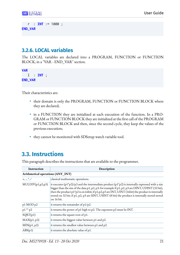```
 r : INT := 1000 ;
END_VAR
```
#### <span id="page-26-0"></span>**3.2.6. LOCAL variables**

The LOCAL variables are declared into a PROGRAM, FUNCTION or FUNCTION BLOCK, in a "VAR - END\_VAR" section.

```
VAR
    l : INT ;
END_VAR
```
Their characteristics are:

- their domain is only the PROGRAM, FUNCTION or FUNCTION BLOCK where they are declared;
- in a FUNCTION they are initialized at each execution of the function. In a PRO-GRAM or FUNCTION BLOCK they are initialized at the first call of the PROGRAM or FUNCTION BLOCK and then, since the second cycle, they keep the values of the previous execution;
- <span id="page-26-1"></span>• they cannot be monitored with SDSetup watch variable tool.

## **3.3. Instructions**

This paragraph describes the instructions that are available to the programmer.

| Instruction                       | Description                                                                                                                                                                                                                                                                                                                                                                                                                      |
|-----------------------------------|----------------------------------------------------------------------------------------------------------------------------------------------------------------------------------------------------------------------------------------------------------------------------------------------------------------------------------------------------------------------------------------------------------------------------------|
| Arithmetical operations (ANY_INT) |                                                                                                                                                                                                                                                                                                                                                                                                                                  |
| $ +, \cdot, *, /$                 | classical mathematic operations.                                                                                                                                                                                                                                                                                                                                                                                                 |
| MULDIV(p1,p2,p3)                  | it executes $(p1*p2)/p3$ and the intermediate product $(p1*p2)$ is internally expressed with a size<br>bigger than the size of the data p1, p2, p3: for example if p1, p2, p3 are DINT, UDINT (32 bit),<br>then the product $p1^*p2$ is on 64bit; if $p1,p2,p3$ are INT, UINT (16bit) the product is internally<br>stored on 32 bit; if p1, p2, p3 are SINT, USINT (8 bit) the product is internally stored stored<br>on 16 bit. |
| $p1 \text{ MOD } p2$              | it returns the remainder of $p1/p2$ .                                                                                                                                                                                                                                                                                                                                                                                            |
| $ p1**p2$                         | it returns the power of p1 high to p2. The exponent p2 must be INT.                                                                                                                                                                                                                                                                                                                                                              |
| SQRT(p1)                          | it returns the square root of p1.                                                                                                                                                                                                                                                                                                                                                                                                |
| MAX(p1, p2)                       | it returns the biggest value between p1 and p2.                                                                                                                                                                                                                                                                                                                                                                                  |
| MIN(p1, p2)                       | it returns the smallest value between p1 and p2.                                                                                                                                                                                                                                                                                                                                                                                 |
| ABS(p1)                           | it returns the absolute value of p1.                                                                                                                                                                                                                                                                                                                                                                                             |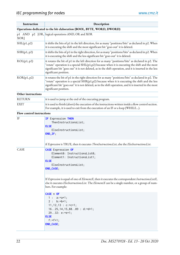| Instruction               | Description                                                                                                                                                                                                                                                                                                                               |
|---------------------------|-------------------------------------------------------------------------------------------------------------------------------------------------------------------------------------------------------------------------------------------------------------------------------------------------------------------------------------------|
|                           | Operations dedicated to the bit elaboration (BOOL, BYTE, WORD, DWORD)                                                                                                                                                                                                                                                                     |
| XOR]                      | p1 AND p2 [OR, logical operations AND, OR and XOR                                                                                                                                                                                                                                                                                         |
| SHL(p1, p2)               | it shifts the bits of p1 in the left direction, for as many "positions/bits" as declared in p2. When<br>it is executing the shift and the most significant bit "goes out" it is deleted.                                                                                                                                                  |
| SHR(p1, p2)               | it shifts the bits of p1 in the right direction, for as many "positions/bits" as declared in p2. When<br>it is executing the shift and the less significant bit "goes out" it is deleted.                                                                                                                                                 |
| ROL(p1, p2)               | it rotates the bit of p1 in the left direction for as many "positions/bits" as declared in p2. The<br>"rotate" operation is a special SHL(p1,p2) because when it is executing the shift and the most<br>significant bit "goes out" it is not deleted, as in the shift operation, and it is inserted in the less<br>significant position.  |
| ROR(p1, p2)               | it rotates the bit of p1 in the right direction for as many "positions/bits" as declared in p2. The<br>"rotate" operation is a special SHR(p1,p2) because when it is executing the shift and the less<br>significant bit "goes out" it is not deleted, as in the shift operation, and it is inserted in the most<br>significant position. |
| Other instructions        |                                                                                                                                                                                                                                                                                                                                           |
| <b>RETURN</b>             | it is used to jump at the end of the executing program.                                                                                                                                                                                                                                                                                   |
| <b>EXIT</b>               | it is used to finish (abort) the execution of the instructions written inside a flow control section.<br>For example, it is used to exit from the execution of an IF or a loop (WHILE).                                                                                                                                                   |
| Flow control instructions |                                                                                                                                                                                                                                                                                                                                           |
| IF                        | <b>IF Expression THEN</b><br>ThenInstructionsList;<br><b>ELSE</b><br>ElseInstructionsList;<br>$END_I$ F;                                                                                                                                                                                                                                  |
|                           | if Expression is TRUE, then it executes ThenInstructionsList, else the ElseInstructionsList.                                                                                                                                                                                                                                              |
| CASE                      | <b>CASE</b> Expression OF<br>Element0: InstructionsList0;<br>Element1: InstructionsList1;<br><b>ELSE</b><br>ElseInstructionsList;<br>END_CASE;                                                                                                                                                                                            |
|                           | If Expression is equal of one of ElementX, then it executes the correspondent InstructionsListX,<br>else it executes ElseInstructionsList. The ElementX can be a single number, or a group of num-<br>bers. For example:                                                                                                                  |
|                           | CASE n OF<br>$1: a:=a+1;$<br>$2 : b := b + 1;$<br>$11, 12, 13 : c:=c+1;$<br>$1625, 14, 15, 8889 : d:=d+1;$<br>$2932: e:=e+1;$<br><b>ELSE</b><br>$f:=f+1;$<br>END_CASE;                                                                                                                                                                    |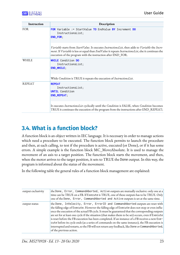| <b>Instruction</b> | Description                                                                                                                                                                                                                                                            |
|--------------------|------------------------------------------------------------------------------------------------------------------------------------------------------------------------------------------------------------------------------------------------------------------------|
| <b>FOR</b>         | <b>FOR</b> Variable := StartValue TO EndValue BY Increment DO<br>InstructionsList;<br>END_FOR;                                                                                                                                                                         |
|                    | Variable starts from StartValue. It executes InstructionsList, then adds to Variable the Incre-<br>ment. If Variable is less or equal than EndValue it repeats InstructionsList, else it continues the<br>execution of the program with the instruction after END_FOR. |
| WHILE              | <b>WHILE</b> Condition DO<br>InstructionsList;<br>END_WHILE;                                                                                                                                                                                                           |
|                    | While Condition is TRUE it repeats the execution of InstructionsList.                                                                                                                                                                                                  |
| <b>REPEAT</b>      | <b>REPEAT</b><br>InstructionsList;<br><b>UNTIL</b> Condition<br><b>END_REPEAT;</b>                                                                                                                                                                                     |
|                    | It executes InstructionsList cyclically until the Condition is FALSE, when Condition becomes<br>TRUE it continues the execution of the program from the instructions after END_REPEAT;                                                                                 |

## <span id="page-28-0"></span>**3.4. What is a function block?**

A function block is an object written in IEC language. It is necessary in order to manage actions which need a procedure to be executed. The function block permits to launch the procedure and then, at each calling, to test if the procedure is active, executed (or Done), or if it has some errors. A simple example is the function block MC\_MoveAbsolute. It is used to manage the movement of an axis to a target position. The function block starts the movement, and then, when the motor arrives to the target position, it sets to TRUE the Done output. In this way, the program is informed about the status of the movement.

In the following table the general rules of a function block management are explained:

| output exclusivity | the Done, Error, CommandAborted, Active outputs are mutually exclusive: only one at a<br>time can be TRUE on a FB. If Execute is TRUE, one of these outputs has to be TRUE. Only<br>one of the Done, Error, CommandAborted and Active outputs is set at the same time.                                                                                                                                                                                                                                                                                                                                                                                                                                                      |
|--------------------|-----------------------------------------------------------------------------------------------------------------------------------------------------------------------------------------------------------------------------------------------------------------------------------------------------------------------------------------------------------------------------------------------------------------------------------------------------------------------------------------------------------------------------------------------------------------------------------------------------------------------------------------------------------------------------------------------------------------------------|
| output status      | the Done, InVelocity, Error, ErrorID and CommandAborted outputs are reset with<br>the falling edge of Execute. However the falling edge of Execute does not stop or even influ-<br>ence the execution of the actual FB cycle. It must be guaranteed that the corresponding outputs<br>are set for at least one cycle if the situation (that makes them to be set) occurs, even if Execute<br>is reset before the FB execution has been completed. If an instance of a FB receives a new Exe-<br>cute before its cycle ends (as a series of commands on the same instance), the FB execution is<br>interrupted and restarts, so the FB will not return any feedback, like Done or CommandAborted,<br>of the previous action. |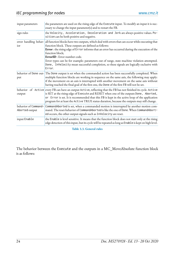| input parameters | the parameters are used on the rising edge of the Execute input. To modify an input it is nec-<br>essary to change the input parameter(s) and to restart the FB.                                                                                                                                                                                                                                          |
|------------------|-----------------------------------------------------------------------------------------------------------------------------------------------------------------------------------------------------------------------------------------------------------------------------------------------------------------------------------------------------------------------------------------------------------|
| sign rules       | the Velocity, Acceleration, Deceleration and Jerk are always positive values. Po-<br>sition can be both positive and negative.                                                                                                                                                                                                                                                                            |
| ior              | error handling behav- all function blocks have two outputs, which deal with errors that can occur while executing that<br>function block. These outputs are defined as follows:                                                                                                                                                                                                                           |
|                  | Error : the rising edge of Error informs that an error has occurred during the execution of the<br>function block;<br>ErrorID : Error number code.                                                                                                                                                                                                                                                        |
|                  | Error types can be for example: parameters out of range, state machine violation attempted.<br>Done, InVelocity mean successful completion, so these signals are logically exclusive with<br>Error.                                                                                                                                                                                                       |
| put              | behavior of Done out-The Done output is set when the commanded action has been successfully completed. When<br>multiple function blocks are working in sequence on the same axis, the following may apply:<br>if the movement on an axis is interrupted with another movement on the same axis without<br>having reached the final goal of the first one, the Done of the first FB will not be set.       |
| output           | behavior of Active every FB can have an output Active, reflecting that the FB has not finished its cycle. Active<br>is SET at the rising edge of Execute and RESET when one of the outputs Done, Aborted,<br>or Error is set. It is recommended that this FB is kept in the active loop of the application<br>program for at least the Active TRUE status duration, because the outputs may still change. |
| Aborted output   | behavior of Command- CommandAborted is set, when a commanded motion is interrupted by another motion com-<br>mand. The reset-behavior of CommandAborted is like the one of Done. When CommandAbort-<br>ed occurs, the other output-signals such as InVelocity are reset.                                                                                                                                  |
| input Enable     | the Enable is level sensitive. It means that the function block does not start only at the rising<br>edge detection of this input, but its cycle will be repeated as long as Enable is kept on high level.                                                                                                                                                                                                |

**Table 3.3. General rules**

The behavior between the Execute and the outputs in a MC\_MoveAbsolute function block is as follows: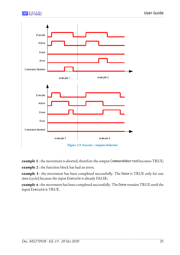



**Figure 3.9. Execute / outputs behavior**

**example 1** : the movement is aborted, therefore the output CommandAborted becomes TRUE;

**example 2** : the function block has had an error;

**example 3** : the movement has been completed successfully. The Done is TRUE only for one time (cycle) because the input Execute is already FALSE;

**example 4** : the movement has been completed successfully. The Done remains TRUE until the input Execute is TRUE.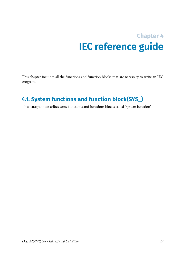## **Chapter 4 IEC reference guide**

<span id="page-32-1"></span><span id="page-32-0"></span>This chapter includes all the functions and function blocks that are necessary to write an IEC program.

## **4.1. System functions and function block(SYS\_)**

This paragraph describes some functions and functions blocks called "system function".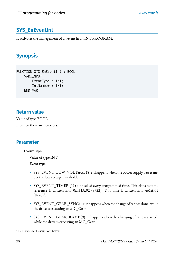## <span id="page-33-0"></span>**SYS\_EnEventInt**

It activates the management of an event in an INT PROGRAM.

## **Synopsis**

```
FUNCTION SYS_EnEventInt : BOOL
     VAR_INPUT
         EventType : INT;
         IntNumber : INT;
     END_VAR
```
#### **Return value**

Value of type BOOL If 0 then there are no errors.

#### **Parameter**

EventType

Value of type INT

Event type:

- SYS\_EVENT\_LOW\_VOLTAGE (8) : it happens when the power supply passes under the low voltage threshold;
- SYS\_EVENT\_TIMER (11) : int called every programmed time. This elapsing time reference is written into 0x461A.02 (8722). This time is written into 461A.01  $(8720)^1$ .
- SYS\_EVENT\_GEAR\_SYNC(4): it happens when the change of ratio is done, while the drive is executing an MC\_Gear;
- SYS\_EVENT\_GEAR\_RAMP (9) : it happens when the changing of ratio is started, while the drive is executing an MC\_Gear;

 $1<sup>1</sup> = 100\mu s$ . See "Description" below.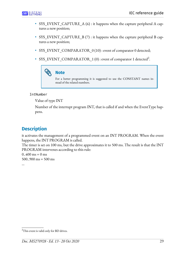- SYS\_EVENT\_CAPTURE\_A (6) : it happens when the capture peripheral A captures a new position;
- SYS\_EVENT\_CAPTURE\_B (7) : it happens when the capture peripheral B captures a new position;
- SYS\_EVENT\_COMPARATOR\_0 (10) : event of comparator 0 detected;
- SYS\_EVENT\_COMPARATOR\_1 (0) : event of comparator 1 detected<sup>2</sup>.

## **Note**

For a better programming it is suggested to use the CONSTANT names instead of the related numbers.

IntNumber

Value of type INT

Number of the interrupt program INT, that is called if and when the EventType happens.

### **Description**

it activates the management of a programmed event on an INT PROGRAM. When the event happens, the INT PROGRAM is called.

The timer is set on 100 ms, but the drive approximates it to 500 ms. The result is that the INT PROGRAM intervenes according to this rule:

 $0.400 \text{ ms} = 0 \text{ ms}$  $500.900$  ms =  $500$  ms

...

<sup>&</sup>lt;sup>2</sup>This event is valid only for BD drives.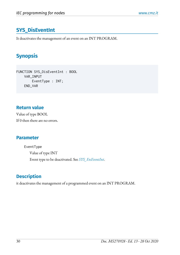## **SYS\_DisEventInt**

It deactivates the management of an event on an INT PROGRAM.

## **Synopsis**

FUNCTION SYS\_DisEventInt : BOOL VAR\_INPUT EventType : INT; END\_VAR

#### **Return value**

Value of type BOOL If 0 then there are no errors.

#### **Parameter**

EventType Value of type INT Event type to be deactivated. See *[SYS\\_EnEventInt](#page-33-0)*.

## **Description**

it deactivates the management of a programmed event on an INT PROGRAM.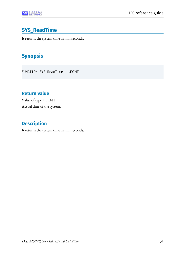# **SYS\_ReadTime**

It returns the system time in milliseconds.

# **Synopsis**

FUNCTION SYS\_ReadTime : UDINT

## **Return value**

Value of type UDINT Actual time of the system.

## **Description**

It returns the system time in milliseconds.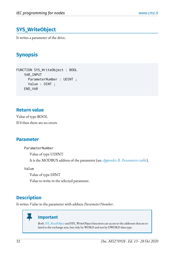# <span id="page-37-0"></span>**SYS\_WriteObject**

It writes a parameter of the drive.

# **Synopsis**

FUNCTION SYS\_WriteObject : BOOL VAR\_INPUT ParameterNumber : UDINT ; Value : DINT ; END\_VAR

### **Return value**

Value of type BOOL If 0 then there are no errors

### **Parameter**

ParameterNumber

Value of type UDINT

It is the MODBUS address of the parameter (see *[Appendix B, Parameters table](#page-162-0)*).

Value

Value of type DINT

Value to write in the selected parameter.

## **Description**

П

It writes *Value* in the parameter with address *ParameterNumber*.

### **Important**

Both *[SYS\\_ReadObject](#page-38-0)* and SYS\_WriteObject functions can access to the addresses that are related to the exchange area, but only by WORD and not by DWORD data type.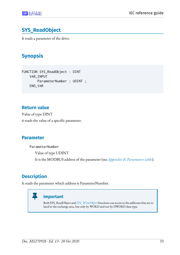# <span id="page-38-0"></span>**SYS\_ReadObject**

It reads a parameter of the drive.

# **Synopsis**

FUNCTION SYS\_ReadObject : DINT VAR\_INPUT ParameterNumber : UDINT ; END\_VAR

## **Return value**

Value of type DINT it reads the value of a specific parameter.

## **Parameter**

ParameterNumber Value of type UDINT It is the MODBUS address of the parameter (see *[Appendix B, Parameters table](#page-162-0)*).

# **Description**

It reads the parameter which address is ParameterNumber.

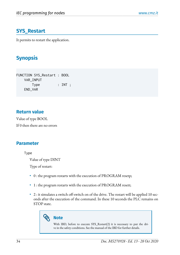## **SYS\_Restart**

It permits to restart the application.

# **Synopsis**

```
FUNCTION SYS_Restart : BOOL 
    VAR_INPUT
       Type : INT ;
    END_VAR
```
### **Return value**

Value of type BOOL If 0 then there are no errors

### **Parameter**

Type

Value of type DINT

Type of restart:

- 0 : the program restarts with the execution of PROGRAM resetp;
- 1 : the program restarts with the execution of PROGRAM resett;
- $\bullet$  2 : it simulates a switch off-switch on of the drive. The restart will be applied 10 seconds after the execution of the command. In these 10 seconds the PLC remains on STOP state.

# **Note**

With IBD, before to execute SYS Restart(2) it is necessary to put the drive in the safety conditions. See the manual of the IBD for further details.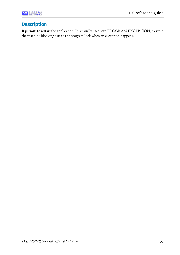

## **Description**

It permits to restart the application. It is usually used into PROGRAM EXCEPTION, to avoid the machine blocking due to the program lock when an exception happens.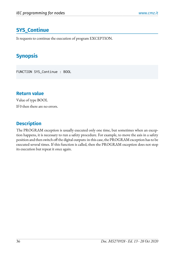# **SYS\_Continue**

It requests to continue the execution of program EXCEPTION.

# **Synopsis**

FUNCTION SYS\_Continue : BOOL

## **Return value**

Value of type BOOL If 0 then there are no errors.

## **Description**

The PROGRAM exception is usually executed only one time, but sometimes when an exception happens, it is necessary to run a safety procedure. For example, to move the axis in a safety position and then switch off the digital outputs: in this case, the PROGRAM exception has to be executed several times. If this function is called, then the PROGRAM exception does not stop its execution but repeat it once again.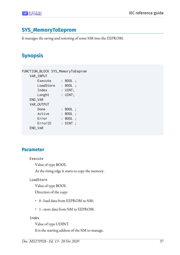# **SYS\_MemoryToEeprom**

It manages the saving and restoring of some %M into the EEPROM.

# **Synopsis**

|  | FUNCTION_BLOCK SYS_MemoryToEeprom<br>: BOOL ;<br>LoadStore : BOOL ;<br>$:$ UINT;<br>$:$ UINT;<br>: BOOL ;<br>: BOOL ;<br>: BOOL :<br>$:$ $DINT:$ |
|--|--------------------------------------------------------------------------------------------------------------------------------------------------|

### **Parameter**

Execute

Value of type BOOL

At the rising edge it starts to copy the memory.

LoadStore

Value of type BOOL

Direction of the copy:

- 0 : load data from EEPROM to %M;
- 1 : store data from %M to EEPROM.

#### Index

Value of type UDINT It is the starting address of the %M to manage.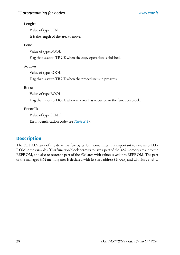#### Lenght

Value of type UINT

It is the length of the area to move.

#### Done

Value of type BOOL

Flag that is set to TRUE when the copy operation is finished.

### Active

Value of type BOOL

Flag that is set to TRUE when the procedure is in progress.

### Error

Value of type BOOL

Flag that is set to TRUE when an error has occurred in the function block.

### ErrorID

Value of type DINT

Error identification code (see *[Table A.1](#page-160-0)*).

## **Description**

The RETAIN area of the drive has few bytes, but sometimes it is important to save into EEP-ROM some variables. This function block permits to save a part of the %M memory area into the EEPROM, and also to restore a part of the %M area with values saved into EEPROM. The part of the managed %M memory area is declared with its start address (Index) and with its Lenght.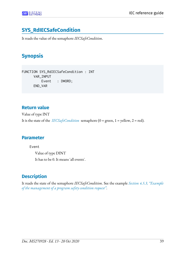# **SYS\_RdIECSafeCondition**

It reads the value of the semaphore *IECSafeCondition*.

# **Synopsis**

FUNCTION SYS\_RdIECSafeCondition : INT VAR\_INPUT Event : DWORD; END\_VAR

## **Return value**

Value of type INT It is the state of the *[IECSafeCondition](#page-16-0)* semaphore (0 = green, 1 = yellow, 2 = red).

## **Parameter**

Event

Value of type DINT It has to be 0. It means 'all events'.

# **Description**

It reads the state of the semaphore *IECSafeCondition*. See the example *[Section 4.5.3, "Example](#page-156-0) of the [management](#page-156-0) of a program safety condition request"*.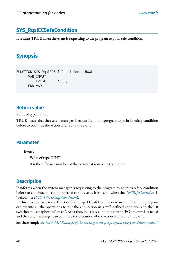# **SYS\_RqsIECSafeCondition**

It returns TRUE when the event is requesting to the program to go in safe condition.

# **Synopsis**

```
FUNCTION SYS_RqsIECSafeCondition : BOOL
       VAR_INPUT
           Event : DWORD; 
       END_VAR
```
## **Return value**

Value of type BOOL

TRUE means that the system manager is requesting to the program to go in its safety condition before to continue the action referred to the event.

## **Parameter**

Event

Value of type DINT

It is the reference number of the event that is making the request.

## **Description**

It informs when the system manager is requesting to the program to go in its safety condition before to continue the action referred to the event. It is useful when the *[IECSafeCondition](#page-16-0)* is "yellow" (see *[SYS\\_WrIECSafeCondition](#page-46-0)*).

In this situation when the function SYS\_RqsIECSafeCondition returns TRUE, the program can execute all the operations to put the application in a well defined condition and then it switches the semaphore to "green". After that, the safety condition for the IEC program is reached and the system manager can continue the execution of the action referred to the event.

See the example *Section 4.5.3, "Example of the management of a program safety condition request"*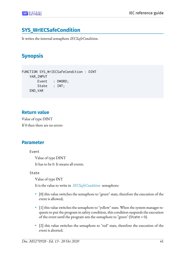# <span id="page-46-0"></span>**SYS\_WrIECSafeCondition**

It writes the internal semaphore *IECSafeCondition*.

# **Synopsis**

```
FUNCTION SYS_WrIECSafeCondition : DINT
     VAR_INPUT
         Event : DWORD;
        State : INT;
     END_VAR
```
## **Return value**

Value of type DINT If 0 then there are no errors

## **Parameter**

Event

Value of type DINT

It has to be 0. It means all events.

State

Value of type INT

It is the value to write in *[IECSafeCondition](#page-16-0)* semaphore:

- [0] this value switches the semaphore to "green" state, therefore the execution of the event is allowed;
- [1] this value switches the semaphore to "yellow" state. When the system manager requests to put the program in safety condition, this condition suspends the execution of the event until the program sets the semaphore to "green" (State =  $0$ ).
- [2] this value switches the semaphore to "red" state, therefore the execution of the event is aborted.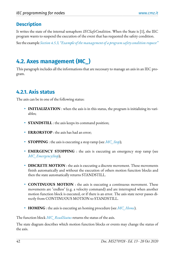## **Description**

It writes the state of the internal semaphore *IECSafeCondition*. When the State is [1], the IEC program wants to suspend the execution of the event that has requested the safety condition.

See the example *Section 4.5.3, "Example of the management of a program safety condition request"* 

# **4.2. Axes management (MC\_)**

This paragraph includes all the informations that are necessary to manage an axis in an IEC program.

# **4.2.1. Axis status**

The axis can be in one of the following status:

- **INITIALIZATION** : when the axis is in this status, the program is initializing its variables;
- <span id="page-47-2"></span>• **STANDSTILL** : the axis keeps its command position;
- <span id="page-47-0"></span>• **ERRORSTOP** : the axis has had an error;
- **STOPPING** : the axis is executing a stop ramp (see *[MC\\_Stop](#page-71-0)*);
- <span id="page-47-1"></span>• **EMERGENCY STOPPING** : the axis is executing an emergency stop ramp (see *[MC\\_EmergencyStop](#page-54-0)*);
- <span id="page-47-4"></span>• **DISCRETE MOTION** : the axis is executing a discrete movement. These movements finish automatically and without the execution of others motion function blocks and then the state automatically returns STANDSTILL.
- <span id="page-47-5"></span>• **CONTINUOUS MOTION** : the axis is executing a continuous movement. These movements are "endless" (e.g. a velocity command) and are interrupted when another motion function block is executed, or if there is an error. The axis state never passes directly from CONTINUOUS MOTION to STANDSTILL.
- <span id="page-47-3"></span>• **HOMING** : the axis is executing an homing procedure (see *[MC\\_Home](#page-61-0)*).

The function block *[MC\\_ReadStatus](#page-82-0)* returns the status of the axis.

The state diagram describes which motion function blocks or events may change the status of the axis.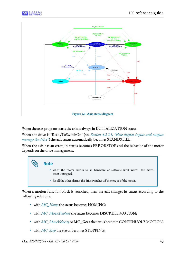



**Figure 4.1. Axis status diagram**

When the axes program starts the axis is always in INITIALIZATION status.

When the drive is "ReadyToSwitchOn" (see *[Section 4.2.2.1, "How digital inputs and outputs](#page-49-0) [manage](#page-49-0) the drive"*) the axis status automatically becomes STANDSTILL.

When the axis has an error, its status becomes ERRORSTOP and the behavior of the motor depends on the drive management.

# **Note** • when the motor arrives to an hardware or software limit switch, the movement is stopped; • for all the other alarms, the drive switches off the torque of the motor.

When a motion function block is launched, then the axis changes its status according to the following relations:

- with *[MC\\_Home](#page-61-0)* the status becomes HOMING;
- with *[MC\\_MoveAbsolute](#page-65-0)* the status becomes DISCRETE MOTION;
- with *[MC\\_MoveVelocity](#page-69-0)* or **MC\_Gear** the status becomes CONTINUOUS MOTION;
- with *[MC\\_Stop](#page-71-0)* the status becomes STOPPING;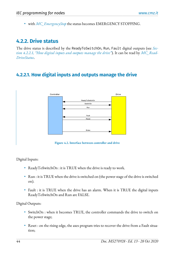• with *[MC\\_EmergencyStop](#page-54-0)* the status becomes EMERGENCY STOPPING.

## **4.2.2. Drive status**

The drive status is described by the ReadyToSwitchOn, Run, Fault digital outputs (see *[Sec](#page-49-0)[tion 4.2.2.1, "How](#page-49-0) digital inputs and outputs manage the drive"*). It can be read by *[MC\\_Read-](#page-79-0)[DriveStatus](#page-79-0)*.

## <span id="page-49-0"></span>**4.2.2.1. How digital inputs and outputs manage the drive**



**Figure 4.2. Interface between controller and drive**

Digital Inputs:

- ReadyToSwitchOn : it is TRUE when the drive is ready to work.
- Run : it is TRUE when the drive is switched on (the power stage of the drive is switched on).
- Fault : it is TRUE when the drive has an alarm. When it is TRUE the digital inputs ReadyToSwitchOn and Run are FALSE.

Digital Outputs:

- SwitchOn : when it becomes TRUE, the controller commands the drive to switch on the power stage;
- Reset : on the rising edge, the axes program tries to recover the drive from a Fault situation;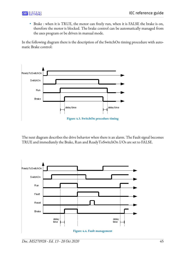• Brake : when it is TRUE, the motor can freely run, when it is FALSE the brake is on, therefore the motor is blocked. The brake control can be automatically managed from the axes program or be driven in manual mode.

In the following diagram there is the description of the SwitchOn timing procedure with automatic Brake control:



The next diagram describes the drive behavior when there is an alarm. The Fault signal becomes TRUE and immediately the Brake, Run and ReadyToSwitchOn I/Os are set to FALSE.

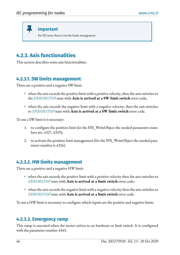Ш **Important** For SD series there is not the brake management.

# **4.2.3. Axis functionalities**

This section describes some axis functionalities.

## **4.2.3.1. SW limits management**

There are a positive and a negative SW limit:

- when the axis exceeds the positive limit with a positive velocity, then the axis switches to the *[ERRORSTOP](#page-47-0)* state with **Axis is arrived at a SW limit switch** error code;
- when the axis exceeds the negative limit with a negative velocity, then the axis switches to *[ERRORSTOP](#page-47-0)* state with **Axis is arrived at a SW limit switch** error code.

To use a SW limit it is necessary:

- 1. to configure the position limit (in the SYS\_WriteObject the needed parameters numbers are: 4327, 4329);
- 2. to activate the position limit management (for the SYS\_WriteObject the needed parameter number is 4326).

## **4.2.3.2. HW limits management**

There are a positive and a negative HW limit:

- when the axis exceeds the positive limit with a positive velocity then the axis switches to *[ERRORSTOP](#page-47-0)* state with **Axis is arrived at a limit switch** error code;
- when the axis exceeds the negative limit with a negative velocity then the axis switches to *[ERRORSTOP](#page-47-0)* state with **Axis is arrived at a limit switch** error code.

To use a HW limit is necessary to configure which inputs are the positive and negative limits.

## **4.2.3.3. Emergency ramp**

This ramp is executed when the motor arrives to an hardware or limit switch. It is configured with the parameter number 4343.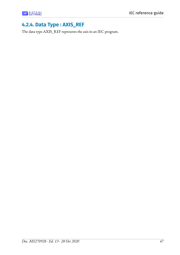## **4.2.4. Data Type : AXIS\_REF**

The data type AXIS\_REF represents the axis in an IEC program.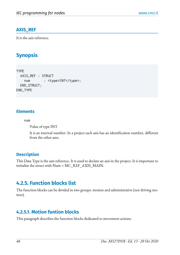### **AXIS\_REF**

It is the axis reference.

# **Synopsis**

```
TYPE
  AXIS_REF : STRUCT
   num : <type>INT</type>;
  END_STRUCT;
END_TYPE
```
### **Elements**

num

Value of type INT

It is an internal number. In a project each axis has an identification number, different from the other axes.

## **Description**

This Data Type is the axis reference. It is used to declare an axis in the project. It is important to initialize the struct with Num = MC\_REF\_AXIS\_MAIN.

## **4.2.5. Function blocks list**

The function blocks can be divided in two groups: motion and administrative (not driving motion).

## **4.2.5.1. Motion funtion blocks**

This paragraph describes the function blocks dedicated to movement actions.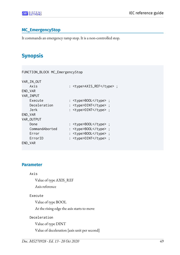### <span id="page-54-0"></span>**MC\_EmergencyStop**

It commands an emergency ramp stop. It is a non-controlled stop.

# **Synopsis**

| FUNCTION_BLOCK MC_EmergencyStop |                           |
|---------------------------------|---------------------------|
| VAR_IN_OUT                      |                           |
| Axis                            | : <type>AXIS_REF</type> ; |
| END_VAR                         |                           |
| VAR_INPUT                       |                           |
| Execute                         | : <type>BOOL</type> ;     |
| Deceleration                    | : <type>DINT</type> ;     |
| Jerk                            | : <type>DINT</type> ;     |
| END_VAR                         |                           |
| VAR_OUTPUT                      |                           |
| Done                            | : <type>BOOL</type> ;     |
| CommandAborted                  | : <type>BOOL</type> ;     |
| Error                           | : <type>BOOL</type> ;     |
| ErrorID                         | : <type>DINT</type> ;     |
| END_VAR                         |                           |

### **Parameter**

```
Axis
```
Value of type AXIS\_REF

Axis reference

#### Execute

Value of type BOOL

At the rising edge the axis starts to move

Deceleration

Value of type DINT

Value of deceleration [axis unit per second]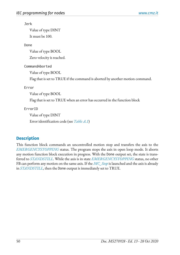Jerk

Value of type DINT It must be 100.

Done

Value of type BOOL

Zero velocity is reached.

CommandAborted

Value of type BOOL

Flag that is set to TRUE if the command is aborted by another motion command.

Error

Value of type BOOL

Flag that is set to TRUE when an error has occurred in the function block

ErrorID

Value of type DINT

Error identification code (see *[Table A.1](#page-160-0)*)

## **Description**

This function block commands an uncontrolled motion stop and transfers the axis to the *[EMERGENCYSTOPPING](#page-47-1)* status. The program stops the axis in open loop mode. It aborts any motion function block execution in progress. With the Done output set, the state is transferred to *[STANDSTILL](#page-47-2)*. While the axis is in state *[EMERGENCYSTOPPING](#page-47-1)* status, no other FB can perform any motion on the same axis. If the *[MC\\_Stop](#page-71-0)* is launched and the axis is already in *[STANDSTILL](#page-47-2)*, then the Done output is immediately set to TRUE.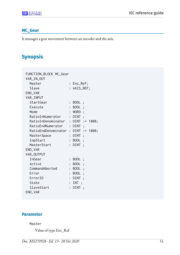### **MC\_Gear**

It manages a gear movement between an encoder and the axis.

# **Synopsis**

| FUNCTION_BLOCK MC_Gear              |                |              |  |
|-------------------------------------|----------------|--------------|--|
| VAR_IN_OUT                          |                |              |  |
| Master                              |                | : Enc_Ref;   |  |
| Slave                               |                | : AXIS_REF;  |  |
| END_VAR                             |                |              |  |
| VAR_INPUT                           |                |              |  |
| StartGear                           | $\ddot{\cdot}$ | BOOL ;       |  |
| Execute                             |                | BOOL ;       |  |
| Mode                                |                | : WORD;      |  |
| RatioInNumerator : DINT ;           |                |              |  |
| RatioInDenominator : DINT := 1000;  |                |              |  |
| RatioEndNumerator : DINT ;          |                |              |  |
| RatioEndDenominator : DINT := 1000; |                |              |  |
| MasterSpace                         |                | $:$ $DINT$ ; |  |
| InpStart                            |                | : BOOL ;     |  |
| MasterStart                         |                | $:$ $DINT$ ; |  |
| END_VAR                             |                |              |  |
| VAR_OUTPUT                          |                |              |  |
| InGear                              |                | : BOOL ;     |  |
| Active                              | $\ddot{\cdot}$ | BOOL ;       |  |
| CommandAborted                      | $\ddot{\cdot}$ | BOOL ;       |  |
| Error                               |                | BOOL ;       |  |
| ErrorID                             | $\ddot{\cdot}$ | DINT ;       |  |
| State                               | $\ddot{\cdot}$ | INT:         |  |
| SlaveStart                          | $\ddot{\cdot}$ | DINT ;       |  |
| END_VAR                             |                |              |  |

### **Parameter**

#### Master

Value of type Enc\_Ref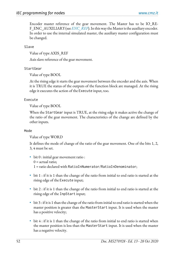Encoder master reference of the gear movement. The Master has to be IO\_RE-F\_ENC\_AUXILIARY (see *[ENC\\_REF](#page-89-0)*). In this way the Master is the auxiliary encoder. In order to use the internal simulated master, the auxiliary master configuration must be changed.

Slave

Value of type AXIS\_REF

Axis slave reference of the gear movement.

#### StartGear

Value of type BOOL

At the rising edge it starts the gear movement between the encoder and the axis. When it is TRUE the status of the outputs of the function block are managed. At the rising edge it executes the action of the Execute input, too.

#### Execute

Value of type BOOL

When the StartGear input is TRUE, at the rising edge it makes active the change of the ratio of the gear movement. The characteristics of the change are defined by the other inputs.

#### Mode

Value of type WORD

It defines the mode of change of the ratio of the gear movement. One of the bits 1, 2, 3, 4 must be set.

- bit 0 : initial gear movement ratio :  $0 =$  actual ratio; 1 = ratio declared with RatioInNumerator/RatioInDenominator;
- bit 1 : if it is 1 than the change of the ratio from initial to end ratio is started at the rising edge of the Execute input;
- bit 2 : if it is 1 than the change of the ratio from initial to end ratio is started at the rising edge of the InpStart input;
- bit 3 : if it is 1 than the change of the ratio from initial to end ratio is started when the master position is greater than the MasterStart input. It is used when the master has a positive velocity;
- bit 4 : if it is 1 than the change of the ratio from initial to end ratio is started when the master position is less than the MasterStart input. It is used when the master has a negative velocity.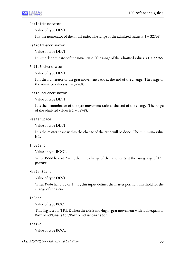#### RatioInNumerator

Value of type DINT

It is the numerator of the initial ratio. The range of the admitted values is  $1 \div 32768$ .

RatioInDenominator

Value of type DINT

It is the denominator of the initial ratio. The range of the admitted values is  $1 \div 32768$ .

RatioEndNumerator

Value of type DINT

It is the numerator of the gear movement ratio at the end of the change. The range of the admitted values is  $1 \div 32768$ .

### RatioEndDenominator

Value of type DINT

It is the denominator of the gear movement ratio at the end of the change. The range of the admitted values is  $1 \div 32768$ .

#### **MasterSpace**

Value of type DINT

It is the master space within the change of the ratio will be done. The minimum value is 1.

### InpStart

Value of type BOOL

When Mode has bit  $2 = 1$ , then the change of the ratio starts at the rising edge of InpStart.

MasterStart

Value of type DINT

When Mode has bit 3 or  $4 = 1$ , this input defines the master position threshold for the change of the ratio.

### InGear

Value of type BOOL

This flag is set to TRUE when the axis is moving in gear movement with ratio equals to RatioEndNumerator/RatioEndDenominator.

#### Active

Value of type BOOL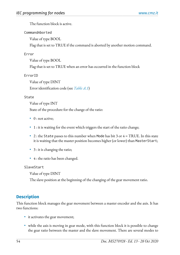The function block is active.

#### CommandAborted

Value of type BOOL

Flag that is set to TRUE if the command is aborted by another motion command.

#### Error

Value of type BOOL

Flag that is set to TRUE when an error has occurred in the function block

#### ErrorID

Value of type DINT Error identification code (see *[Table A.1](#page-160-0)*)

#### State

Value of type INT

State of the procedure for the change of the ratio:

- 0 : not active;
- 1 : it is waiting for the event which triggers the start of the ratio change;
- 2 : the State passes to this number when Mode has bit 3 or  $4 = \text{TRUE}$ . In this state it is waiting that the master position becomes higher (or lower) than MasterStart;
- 3 : it is changing the ratio;
- 4 : the ratio has been changed.

#### SlaveStart

Value of type DINT

The slave position at the beginning of the changing of the gear movement ratio.

### **Description**

This function block manages the gear movement between a master encoder and the axis. It has two functions:

- it activates the gear movement;
- while the axis is moving in gear mode, with this function block it is possible to change the gear ratio between the master and the slave movement. There are several modes to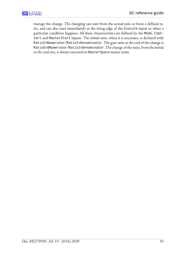manage the change. The changing can start from the actual ratio or from a defined ratio, and can also start immediately at the rising edge of the Execute input or when a particular condition happens. All these characteristics are defined by the Mode, InpStart and MasterStart inputs. The initial ratio, when it is necessary, is declared with RatioInNumerator/RatioInDenominator. The gear ratio at the end of the change is RatioEndNumerator/RatioInDenominator. The change of the ratio, from the initial to the end one, is always executed in MasterSpace master units.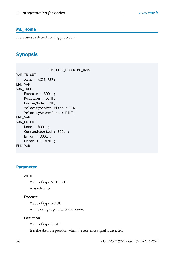### <span id="page-61-0"></span>**MC\_Home**

It executes a selected homing procedure.

# **Synopsis**

 FUNCTION\_BLOCK MC\_Home VAR\_IN\_OUT Axis : AXIS\_REF; END\_VAR VAR\_INPUT Execute : BOOL ; Position : DINT; HomingMode: INT; VelocitySearchSwitch : DINT; VelocitySearchZero : DINT; END\_VAR VAR\_OUTPUT Done : BOOL ; CommandAborted : BOOL ; Error : BOOL ; ErrorID : DINT ; END\_VAR

### **Parameter**

#### Axis

Value of type AXIS\_REF

Axis reference

#### Execute

Value of type BOOL

At the rising edge it starts the action.

Position

Value of type DINT

It is the absolute position when the reference signal is detected.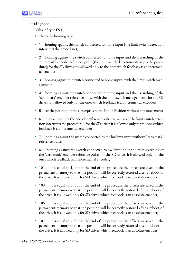#### HomingMode

Value of type INT

It selects the homing type:

- 1: homing against the switch connected to home input (the limit switch detection interrupts the procedure);
- 2: homing against the switch connected to home input and then searching of the "zero mark" encoder reference pulse (the limit switch detection interrupts the procedure); for the SD drives it is allowed only to the ones which feedback is an incremental encoder;
- 3: homing against the switch connected to home input, with the limit switch management;
- 4: homing against the switch connected to home input and then searching of the "zero mark" encoder reference pulse, with the limit switch management; for the SD drives it is allowed only for the ones which feedback is an incremental encoder;
- 5: set the position of the axis equals to the Input Position without any movement;
- 6: the axis searches the encoder reference pulse "zero mark" (the limit switch detection interrupts the procedure); for the SD drives it is allowed only for the ones which feedback is an incremental encoder;
- 7: homing against the switch connected to the hw limit input without "zero mark" reference pulse;
- 8: homing against the switch connected to hw limit input and then searching of the "zero mark" encoder reference pulse; for the SD drives it is allowed only for the ones which feedback is an incremental encoder;
- 101: it is equal to 1, but at the end of the procedure the offsets are saved in the permanent memory so that the position will be correctly restored after a reboot of the drive. It is allowed only for SD drives which feedback is an absolute encoder;
- 103: it is equal to 3, but at the end of the procedure the offsets are saved in the permanent memory so that the position will be correctly restored after a reboot of the drive. It is allowed only for SD drives which feedback is an absolute encoder;
- 105: it is equal to 5, but at the end of the procedure the offsets are saved in the permanent memory so that the position will be correctly restored after a reboot of the drive. It is allowed only for SD drives which feedback is an absolute encoder;
- 107: it is equal to 7, but at the end of the procedure the offsets are saved in the permanent memory so that the position will be correctly restored after a reboot of the drive. It is allowed only for SD drives which feedback is an absolute encoder;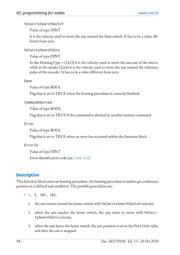VelocitySearchSwitch

Value of type DINT

It is the velocity used to move the axis toward the limit switch. It has to be a value different from zero.

VelocitySearchZero

Value of type DINT

In the HomingType =  $(1)$ , $(3)$  it is the velocity used to move the axis out of the micro, while in the modes (2),(4) it is the velocity used to move the axis toward the reference pulse of the encoder. It has to be a value different from zero.

Done

Value of type BOOL

Flag that is set to TRUE when the homing procedure is correctly finished.

CommandAborted

Value of type BOOL

Flag that is set to TRUE if the command is aborted by another motion command.

Error

Value of type BOOL

Flag that is set to TRUE when an error has occurred within the function block.

ErrorID

Value of type DINT Error identification code (see *[Table A.1](#page-160-0)*).

### **Description**

This function block starts an homing procedure. An homing procedure is used to get a reference position in a defined real condition. The possible procedures are:

- 1, 3, 101, 103:
	- 1. the axis moves toward the home switch with VelocitySearchSwitch velocity;
	- 2. when the axis reaches the home switch, the axis starts to move with VelocitySearchZero velocity;
	- 3. when the axis leaves the home switch, the axis position is set to the Position value and then the axis is stopped.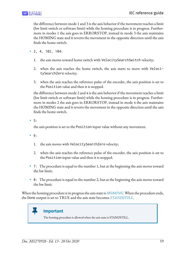the difference between mode 1 and 3 is the axis behavior if the movement reaches a limit (hw limit switch or software limit) while the homing procedure is in progress. Furthermore in modes 1 the axis goes in ERRORSTOP, instead in mode 3 the axis maintains the HOMING state and it reverts the movement in the opposite direction until the axis finds the home switch.

- 2, 4, 102, 104:
	- 1. the axis moves toward home switch with VelocitySearchSwitch velocity;
	- 2. when the axis reaches the home switch, the axis starts to move with VelocitySearchZero velocity;
	- 3. when the axis reaches the reference pulse of the encoder, the axis position is set to the Position value and then it is stopped.

the difference between mode 2 and 4 is the axis behavior if the movement reaches a limit (hw limit switch or software limit) while the homing procedure is in progress. Furthermore in modes 2 the axis goes in ERRORSTOP, instead in mode 4 the axis maintains the HOMING state and it reverts the movement in the opposite direction until the axis finds the home switch.

• 5:

the axis position is set to the Position input value without any movement.

- 6:
	- 1. the axis moves with VelocitySearchZero velocity;
	- 2. when the axis reaches the reference pulse of the encoder, the axis position is set to the Position input value and then it is stopped.
- 7: The procedure is equal to the number 1, but at the beginning the axis moves toward the hw limit;
- 8: The procedure is equal to the number 2, but at the beginning the axis moves toward the hw limit.

When the homing procedure is in progress the axis state is *[HOMING](#page-47-3)*. When the procedure ends, the Done output is set to TRUE and the axis state becomes *[STANDSTILL](#page-47-2)*.



The homing procedure is allowed when the axis state is STANDSTILL.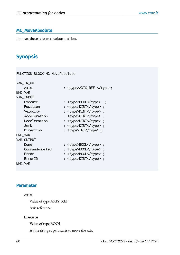### <span id="page-65-0"></span>**MC\_MoveAbsolute**

It moves the axis to an absolute position.

# **Synopsis**

FUNCTION\_BLOCK MC\_MoveAbsolute

| VAR_IN_OUT     |                            |
|----------------|----------------------------|
| Axis           | : <type>AXIS_REF </type> ; |
| END_VAR        |                            |
| VAR_INPUT      |                            |
| Execute        | : <type>BOOL</type> ;      |
| Position       | : <type>DINT</type> ;      |
| Velocity       | : <type>DINT</type>        |
| Acceleration   | : <type>DINT</type>        |
| Deceleration   | : <type>DINT</type> ;      |
| Jerk           | : <type>DINT</type> ;      |
| Direction      | : <type>INT</type> ;       |
| END_VAR        |                            |
| VAR_OUTPUT     |                            |
| Done           | : <type>BOOL</type>        |
| CommandAborted | : <type>BOOL</type> ;      |
| Error          | : <type>BOOL</type> ;      |
| ErrorID        | : <type>DINT</type> ;      |
| END_VAR        |                            |

### **Parameter**

#### Axis

Value of type AXIS\_REF

Axis reference

#### Execute

Value of type BOOL

At the rising edge it starts to move the axis.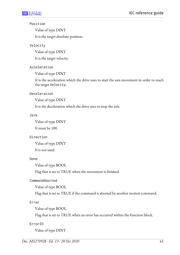#### Position

Value of type DINT

It is the target absolute position.

### Velocity

Value of type DINT

It is the target velocity.

### Acceleration

Value of type DINT

It is the acceleration which the drive uses to start the axis movement in order to reach the target Velocity.

### Deceleration

Value of type DINT

It is the deceleration which the drive uses to stop the axis.

### Jerk

Value of type DINT

It must be 100.

### Direction

Value of type DINT

It is not used.

### Done

Value of type BOOL

Flag that is set to TRUE when the movement is finished.

### CommandAborted

Value of type BOOL

Flag that is set to TRUE if the command is aborted by another motion command.

### Error

Value of type BOOL

Flag that is set to TRUE when an error has occurred within the function block.

### ErrorID

Value of type DINT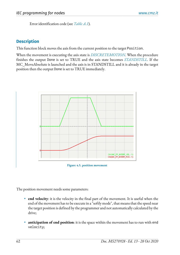Error identification code (see *[Table A.1](#page-160-0)*).

### **Description**

This function block moves the axis from the current position to the target Position.

When the movement is executing the axis state is *[DISCRETEMOTION](#page-47-4)*. When the procedure finishes the output Done is set to TRUE and the axis state becomes *[STANDSTILL](#page-47-2)*. If the MC\_MoveAbsolute is launched and the axis is in STANDSTILL and it is already in the target position then the output Done is set to TRUE immediately.



**Figure 4.5. position movement**

The position movement needs some parameters:

- **end velocity**: it is the velocity in the final part of the movement. It is useful when the end of the movement has to be execute in a "softly mode", that means that the speed near the target position is defined by the programmer and not automatically calculated by the drive;
- **anticipation of end position**: it is the space within the movement has to run with end velocity;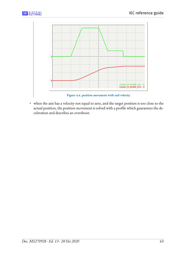



• when the axis has a velocity not equal to zero, and the target position is too close to the actual position, the position movement is solved with a profile which guarantees the deceleration and describes an overshoot.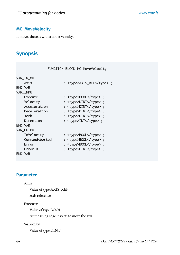### <span id="page-69-0"></span>**MC\_MoveVelocity**

It moves the axis with a target velocity.

# **Synopsis**

|                | FUNCTION_BLOCK MC_MoveVelocity |
|----------------|--------------------------------|
| VAR_IN_OUT     |                                |
| Axis           | : <type>AXIS_REF</type> ;      |
| END_VAR        |                                |
| VAR_INPUT      |                                |
| Execute        | : <type>BOOL</type> ;          |
| Velocity       | : <type>DINT</type> ;          |
| Acceleration   | : <type>DINT</type> ;          |
| Deceleration   | : <type>DINT</type> ;          |
| Jerk           | : <type>DINT</type> ;          |
| Direction      | : <type>INT</type> ;           |
| END_VAR        |                                |
| VAR_OUTPUT     |                                |
| InVelocity     | : <type>BOOL</type> ;          |
| CommandAborted | : <type>BOOL</type> ;          |
| Error          | : <type>BOOL</type> ;          |
| ErrorID        | : <type>DINT</type> ;          |
| END_VAR        |                                |

### **Parameter**

#### Axis

Value of type AXIS\_REF Axis reference

#### Execute

Value of type BOOL

At the rising edge it starts to move the axis.

#### Velocity

Value of type DINT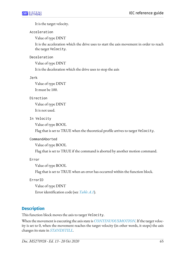It is the target velocity.

#### Acceleration

Value of type DINT

It is the acceleration which the drive uses to start the axis movement in order to reach the target Velocity.

### Deceleration

Value of type DINT

It is the deceleration which the drive uses to stop the axis

#### Jerk

Value of type DINT It must be 100.

### Direction

Value of type DINT It is not used.

### In Velocity

Value of type BOOL

Flag that is set to TRUE when the theoretical profile arrives to target Velocity.

### CommandAborted

Value of type BOOL

Flag that is set to TRUE if the command is aborted by another motion command.

Error

Value of type BOOL

Flag that is set to TRUE when an error has occurred within the function block.

### ErrorID

Value of type DINT

Error identification code (see *[Table A.1](#page-160-0)*).

## **Description**

This function block moves the axis to target Velocity.

When the movement is executing the axis state is *[CONTINUOUSMOTION](#page-47-5)*. If the target velocity is set to 0, when the movement reaches the target velocity (in other words, it stops) the axis changes its state in *[STANDSTILL](#page-47-2)*.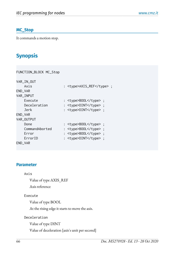### <span id="page-71-0"></span>**MC\_Stop**

It commands a motion stop.

# **Synopsis**

| FUNCTION_BLOCK MC_Stop |                           |
|------------------------|---------------------------|
| VAR_IN_OUT             |                           |
| Axis                   | : <type>AXIS_REF</type> ; |
| END_VAR                |                           |
| VAR_INPUT              |                           |
| Execute                | : <type>BOOL</type> ;     |
| Deceleration           | : <type>DINT</type> ;     |
| Jerk                   | : <type>DINT</type> ;     |
| END_VAR                |                           |
| VAR_OUTPUT             |                           |
| Done                   | : <type>BOOL</type> ;     |
| CommandAborted         | : <type>BOOL</type> ;     |
| Error                  | : <type>BOOL</type> ;     |
| ErrorID                | : <type>DINT</type> ;     |
| END_VAR                |                           |

### **Parameter**

#### Axis

Value of type AXIS\_REF

Axis reference

#### Execute

Value of type BOOL

At the rising edge it starts to move the axis.

Deceleration

Value of type DINT

Value of deceleration [axis's unit per second]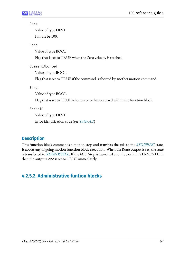### Jerk

Value of type DINT It must be 100.

Done

Value of type BOOL

Flag that is set to TRUE when the Zero velocity is reached.

CommandAborted

Value of type BOOL

Flag that is set to TRUE if the command is aborted by another motion command.

Error

Value of type BOOL

Flag that is set to TRUE when an error has occurred within the function block.

ErrorID

Value of type DINT Error identification code (see *[Table A.1](#page-160-0)*)

# **Description**

This function block commands a motion stop and transfers the axis to the *[STOPPING](#page-47-0)* state. It aborts any ongoing motion function block execution. When the Done output is set, the state is transferred to *[STANDSTILL](#page-47-1)*. If the MC\_Stop is launched and the axis is in STANDSTILL, then the output Done is set to TRUE immediately.

# **4.2.5.2. Administrative funtion blocks**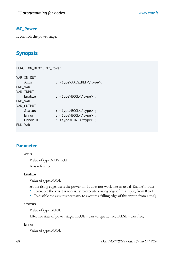### <span id="page-73-0"></span>**MC\_Power**

It controls the power stage.

# **Synopsis**

FUNCTION\_BLOCK MC\_Power

| VAR_IN_OUT |                           |
|------------|---------------------------|
| Axis       | : <type>AXIS_REF</type> ; |
| END_VAR    |                           |
| VAR_INPUT  |                           |
| Enable     | : <type>BOOL</type> ;     |
| END_VAR    |                           |
| VAR_OUTPUT |                           |
| Status     | : <type>BOOL</type> ;     |
| Error      | : <type>BOOL</type> ;     |
| ErrorID    | : <type>DINT</type> ;     |
| END_VAR    |                           |
|            |                           |

### **Parameter**

### Axis

Value of type AXIS\_REF Axis reference.

### Enable

Value of type BOOL

At the rising edge it sets the power on. It does not work like an usual 'Enable' input:

- To enable the axis it is necessary to execute a rising edge of this input, from 0 to 1;
- To disable the axis it is necessary to execute a falling edge of this input, from 1 to 0;

### Status

Value of type BOOL

Effective state of power stage. TRUE = axis torque active;  $FALSE = axis$  free;

### Error

Value of type BOOL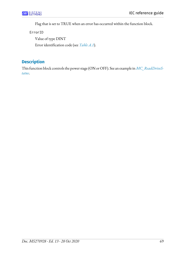Flag that is set to TRUE when an error has occurred within the function block.

ErrorID

Value of type DINT Error identification code (see *[Table A.1](#page-160-0)*).

# **Description**

This function block controls the power stage (ON or OFF). See an example in *[MC\\_ReadDriveS](#page-79-0)[tatus](#page-79-0)*.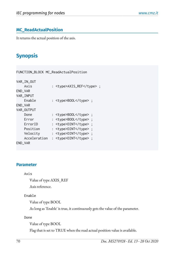## **MC\_ReadActualPosition**

It returns the actual position of the axis.

# **Synopsis**

FUNCTION\_BLOCK MC\_ReadActualPosition

| VAR_IN_OUT   |                           |  |
|--------------|---------------------------|--|
| Axis         | : <type>AXIS_REF</type> ; |  |
| END_VAR      |                           |  |
| VAR_INPUT    |                           |  |
| Enable       | : <type>BOOL</type> ;     |  |
| END_VAR      |                           |  |
| VAR_OUTPUT   |                           |  |
| Done         | : <type>BOOL</type> ;     |  |
| Error        | : <type>BOOL</type> ;     |  |
| ErrorID      | : <type>DINT</type> ;     |  |
| Position     | : <type>DINT</type> ;     |  |
| Velocity     | : <type>DINT</type> ;     |  |
| Acceleration | : <type>DINT</type> ;     |  |
| END_VAR      |                           |  |

### **Parameter**

### Axis

Value of type AXIS\_REF

Axis reference.

### Enable

Value of type BOOL

As long as 'Enable' is true, it continuously gets the value of the parameter.

### Done

Value of type BOOL

Flag that is set to TRUE when the read actual position value is available.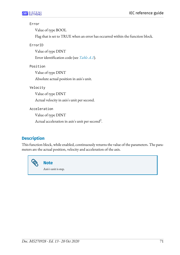### Error

Value of type BOOL

Flag that is set to TRUE when an error has occurred within the function block.

ErrorID

Value of type DINT

Error identification code (see *[Table A.1](#page-160-0)*).

Position

Value of type DINT

Absolute actual position in axis's unit.

Velocity

Value of type DINT

Actual velocity in axis's unit per second.

Acceleration

Value of type DINT

Actual acceleration in axis's unit per second $^2\!\!$  .

# **Description**

This function block, while enabled, continuously returns the value of the parameters. The parameters are the actual position, velocity and acceleration of the axis.

> **Note** Axis's unit is step.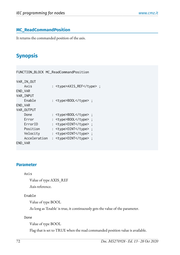## **MC\_ReadCommandPosition**

It returns the commanded position of the axis.

# **Synopsis**

FUNCTION\_BLOCK MC\_ReadCommandPosition

| VAR_IN_OUT   |                           |  |
|--------------|---------------------------|--|
| Axis         | : <type>AXIS_REF</type> ; |  |
| END_VAR      |                           |  |
| VAR_INPUT    |                           |  |
| Enable       | : <type>BOOL</type> ;     |  |
| END_VAR      |                           |  |
| VAR_OUTPUT   |                           |  |
| Done         | : <type>BOOL</type> ;     |  |
| Error        | : <type>BOOL</type> ;     |  |
| ErrorID      | : <type>DINT</type> ;     |  |
| Position     | : <type>DINT</type> ;     |  |
| Velocity     | : <type>DINT</type> ;     |  |
| Acceleration | : <type>DINT</type> ;     |  |
| END VAR      |                           |  |

### **Parameter**

#### Axis

Value of type AXIS\_REF

Axis reference.

### Enable

Value of type BOOL

As long as 'Enable' is true, it continuously gets the value of the parameter.

### Done

Value of type BOOL

Flag that is set to TRUE when the read commanded position value is available.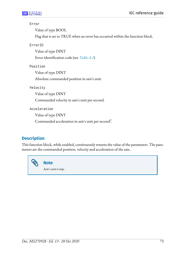### Error

Value of type BOOL

Flag that is set to TRUE when an error has occurred within the function block.

ErrorID

Value of type DINT Error identification code (see *[Table A.1](#page-160-0)*)

Position

Value of type DINT

Absolute commanded position in axis's unit.

Velocity

Value of type DINT

Commanded velocity in axis's unit per second.

Acceleration

Value of type DINT

Commanded acceleration in axis's unit per second<sup>2</sup>.

# **Description**

This function block, while enabled, continuously returns the value of the parameters. The parameters are the commanded position, velocity and acceleration of the axis.

> **Note** Axis's unit is step.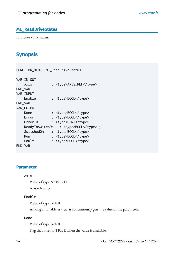## <span id="page-79-0"></span>**MC\_ReadDriveStatus**

It returns drive status.

# **Synopsis**

| FUNCTION_BLOCK MC_ReadDriveStatus |                           |  |  |
|-----------------------------------|---------------------------|--|--|
| VAR_IN_OUT                        |                           |  |  |
| Axis                              | : <type>AXIS_REF</type> ; |  |  |
| END_VAR                           |                           |  |  |
| VAR_INPUT                         |                           |  |  |
| Enable                            | : <type>BOOL</type> ;     |  |  |
| END_VAR                           |                           |  |  |
| VAR_OUTPUT                        |                           |  |  |
| Done                              | : <type>BOOL</type> ;     |  |  |
| Error                             | : <type>BOOL</type> ;     |  |  |
| ErrorID                           | : <type>DINT</type> ;     |  |  |
| ReadyToSwitchOn                   | : <type>BOOL</type> ;     |  |  |
| SwitchedOn                        | : <type>BOOL</type> ;     |  |  |
| Run                               | : <type>BOOL</type> ;     |  |  |
| Fault                             | : <type>BOOL</type> ;     |  |  |
| END_VAR                           |                           |  |  |

### **Parameter**

### Axis

Value of type AXIS\_REF

Axis reference.

### Enable

Value of type BOOL

As long as 'Enable' is true, it continuously gets the value of the parameter.

#### Done

Value of type BOOL

Flag that is set to TRUE when the value is available.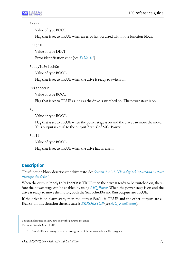### Error

Value of type BOOL

Flag that is set to TRUE when an error has occurred within the function block.

ErrorID

Value of type DINT

Error identification code (see *[Table A.1](#page-160-0)*)

ReadyToSwitchOn

Value of type BOOL

Flag that is set to TRUE when the drive is ready to switch on.

SwitchedOn

Value of type BOOL

Flag that is set to TRUE as long as the drive is switched on. The power stage is on.

Run

Value of type BOOL

Flag that is set to TRUE when the power stage is on and the drive can move the motor. This output is equal to the output 'Status' of MC\_Power.

### Fault

Value of type BOOL

Flag that is set to TRUE when the drive has an alarm.

# **Description**

This function block describes the drive state. See *[Section 4.2.2.1, "How digital inputs and outputs](#page-49-0) [manage](#page-49-0) the drive"*

When the output ReadyToSwitchOn is TRUE then the drive is ready to be switched on, therefore the power stage can be enabled by using *[MC\\_Power](#page-73-0)*. When the power stage is on and the drive is ready to move the motor, both the SwitchedOn and Run outputs are TRUE.

If the drive is on alarm state, then the output Fault is TRUE and the other outputs are all FALSE. In this situation the axis state is *[ERRORSTOP](#page-47-2)* (see *[MC\\_ReadStatus](#page-82-0)*).

This example is used to show how to give the power to the drive: The input 'SwitchOn = TRUE' ;

1. first of all it is necessary to start the management of the movement in the IEC program;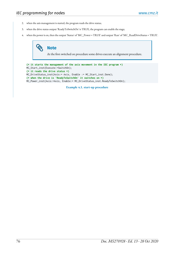- 2. when the axis management is started, the program reads the drive status;
- 3. when the drive status output 'ReadyToSwitchOn' is TRUE, the program can enable the stage;
- 4. when the power is on, then the output 'Status' of 'MC\_Power = TRUE' and output 'Run' of 'MC\_ReadDriveStatus = TRUE'.

# **Note**

At the first switched on procedure some drives execute an alignment procedure.

```
(* it starts the management of the axis movement in the IEC program *)
MC_Start_inst(Execute:=SwitchOn); 
(* it reads the drive status *)
MC_DriveStatus_inst(Axis:= Axis, Enable := MC_Start_inst.Done); 
(* when the drive is 'ReadyToSwitchOn' it switches on *)
MC_Power_inst(Axis:=Axis, Enable:= MC_DriveStatus_inst.ReadyToSwitchOn);
```
**Example 4.1. start-up procedure**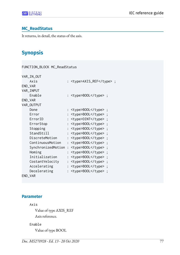### <span id="page-82-0"></span>**MC\_ReadStatus**

It returns, in detail, the status of the axis.

# **Synopsis**

| FUNCTION_BLOCK MC_ReadStatus           |                           |  |
|----------------------------------------|---------------------------|--|
| VAR_IN_OUT                             |                           |  |
| Axis                                   | : <type>AXIS_REF</type> ; |  |
| END_VAR                                |                           |  |
| VAR_INPUT                              |                           |  |
| Enable                                 | : <type>BOOL</type> ;     |  |
| END_VAR                                |                           |  |
| VAR_OUTPUT                             |                           |  |
| Done                                   | : <type>BOOL</type>       |  |
| Error                                  | : <type>BOOL</type>       |  |
| ErrorID                                | : <type>DINT</type> ;     |  |
| ErrorStop                              | : <type>BOOL</type>       |  |
| Stopping                               | : <type>BOOL</type>       |  |
| StandStill                             | : <type>BOOL</type>       |  |
| DiscreteMotion                         | : <type>BOOL</type>       |  |
| ContinuousMotion                       | : <type>BOOL</type>       |  |
| SynchronizedMotion : <type>BOOL</type> |                           |  |
| Homing                                 | : <type>BOOL</type>       |  |
| Initialization                         | : <type>BOOL</type>       |  |
| CostantVelocity                        | : <type>BOOL</type>       |  |
| Accelerating                           | : <type>BOOL</type>       |  |
| Decelerating                           | : <type>BOOL</type>       |  |
| END_VAR                                |                           |  |

## **Parameter**

#### Axis

Value of type AXIS\_REF Axis reference.

### Enable

Value of type BOOL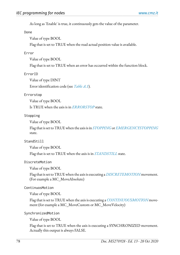As long as 'Enable' is true, it continuously gets the value of the parameter.

#### Done

Value of type BOOL

Flag that is set to TRUE when the read actual position value is available.

### Error

Value of type BOOL

Flag that is set to TRUE when an error has occurred within the function block.

### ErrorID

Value of type DINT

Error identification code (see *[Table A.1](#page-160-0)*).

### Errorstop

Value of type BOOL

Is TRUE when the axis is in *[ERRORSTOP](#page-47-2)* state.

### Stopping

Value of type BOOL

Flag that is set to TRUE when the axis is in *[STOPPING](#page-47-0)* or *[EMERGENCYSTOPPING](#page-47-3)* state.

### StandStill

Value of type BOOL

Flag that is set to TRUE when the axis is in *[STANDSTILL](#page-47-1)* state.

### DiscreteMotion

Value of type BOOL

Flag that is set to TRUE when the axis is executing a *[DISCRETEMOTION](#page-47-4)* movement. (For example a MC\_MoveAbsolute)

### ContinuosMotion

Value of type BOOL

Flag that is set to TRUE when the axis is executing a *[CONTINUOUSMOTION](#page-47-5)* movement (for example a MC\_MoveCustom or MC\_MoveVelocity)

SynchronizedMotion

Value of type BOOL

Flag that is set to TRUE when the axis is executing a SYNCHRONIZED movement. Actually this output is always FALSE.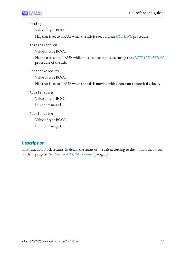### Homing

Value of type BOOL

Flag that is set to TRUE when the axis is executing an *[HOMING](#page-47-6)* procedure.

Initialization

Value of type BOOL

Flag that is set to TRUE while the axis program is executing the *[INITIALIZATION](#page-47-7)* procedure of the axis.

CostantVelocity

Value of type BOOL

Flag that is set to TRUE when the axis is moving with a constant theoretical velocity.

Accelerating

Value of type BOOL

It is not managed.

Decelerating

Value of type BOOL

It is not managed.

# **Description**

This function block returns, in detail, the status of the axis according to the motion that is currently in progress. See *[Section 4.2.1, "Axis status"](#page-47-8)* paragraph.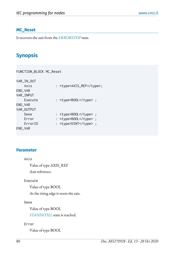### **MC\_Reset**

It recovers the axis from the *[ERRORSTOP](#page-47-2)* state.

# **Synopsis**

FUNCTION\_BLOCK MC\_Reset

| VAR_IN_OUT |                           |  |
|------------|---------------------------|--|
| Axis       | : <type>AXIS_REF</type> ; |  |
| END_VAR    |                           |  |
| VAR_INPUT  |                           |  |
| Execute    | : <type>BOOL</type> ;     |  |
| END_VAR    |                           |  |
| VAR_OUTPUT |                           |  |
| Done       | : <type>BOOL</type> ;     |  |
| Error      | : <type>BOOL</type> ;     |  |
| ErrorID    | : <type>DINT</type> ;     |  |
| END_VAR    |                           |  |
|            |                           |  |

## **Parameter**

### Axis

Value of type AXIS\_REF

Axis reference.

### Execute

Value of type BOOL

At the rising edge it resets the axis.

### Done

Value of type BOOL

*[STANDSTILL](#page-47-1)* state is reached.

### Error

Value of type BOOL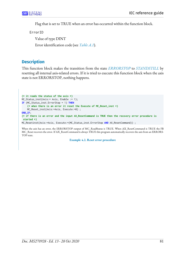Flag that is set to TRUE when an error has occurred within the function block.

ErrorID

Value of type DINT Error identification code (see *[Table A.1](#page-160-0)*).

## **Description**

This function block makes the transition from the state *[ERRORSTOP](#page-47-2)* to *[STANDSTILL](#page-47-1)* by resetting all internal axis-related errors. If it is tried to execute this function block when the axis state is not ERRORSTOP, nothing happens.

```
(* it reads the status of the axis *)
MC_Status_inst(Axis:= Axis, Enable := 1); 
IF (MC_Status_inst.ErrorStop = 1) THEN
     (* when there is an error it reset the Execute of MC_Reset_inst *)
     MC_Reset_inst(Axis:=Axis, Execute:=0) ;
END_IF;
(* if there is an error and the input AX_ResetCommand is TRUE then the recovery error procedure is
 started *)
MC_Resetinst(Axis:=Axis, Execute:=(MC_Status_inst.ErrorStop AND AX_ResetCommand)) ;
```
When the axis has an error, the ERRORSTOP output of MC\_ReadStatus is TRUE. When AX\_ResetCommand is TRUE the FB MC\_Reset recovers the error. If AX\_ResetCommand is always TRUE this program automatically recovers the axis from an ERRORS-TOP state.

**Example 4.2. Reset error procedure**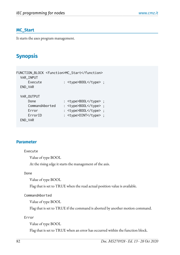### **MC\_Start**

It starts the axes program management.

# **Synopsis**

| FUNCTION_BLOCK <function>MC_Start</function> |                       |  |  |
|----------------------------------------------|-----------------------|--|--|
| VAR_INPUT                                    |                       |  |  |
| Execute                                      | : <type>BOOL</type> ; |  |  |
| END_VAR                                      |                       |  |  |
|                                              |                       |  |  |
| VAR_OUTPUT                                   |                       |  |  |
| Done                                         | : <type>BOOL</type> ; |  |  |
| CommandAborted                               | : <type>BOOL</type> ; |  |  |
| Error                                        | : <type>BOOL</type> ; |  |  |
| ErrorID                                      | : <type>DINT</type> ; |  |  |
| END_VAR                                      |                       |  |  |

## **Parameter**

### Execute

Value of type BOOL

At the rising edge it starts the management of the axis.

### Done

Value of type BOOL

Flag that is set to TRUE when the read actual position value is available.

CommandAborted

Value of type BOOL

Flag that is set to TRUE if the command is aborted by another motion command.

Error

Value of type BOOL

Flag that is set to TRUE when an error has occurred within the function block.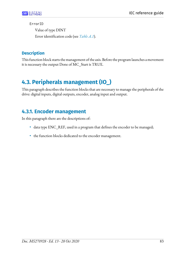ErrorID

Value of type DINT Error identification code (see *[Table A.1](#page-160-0)*).

# **Description**

This function block starts the management of the axis. Before the program launches a movement it is necessary the output Done of MC\_Start is TRUE.

# **4.3. Peripherals management (IO\_)**

This paragraph describes the function blocks that are necessary to manage the peripherals of the drive: digital inputs, digital outputs, encoder, analog input and output.

# **4.3.1. Encoder management**

In this paragraph there are the descriptions of:

- data type ENC\_REF, used in a program that defines the encoder to be managed;
- the function blocks dedicated to the encoder management.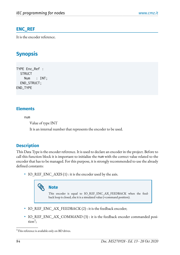# <span id="page-89-0"></span>**ENC\_REF**

It is the encoder reference.

# **Synopsis**

```
TYPE Enc_Ref :
  STRUCT
     Num : INT;
   END_STRUCT;
END_TYPE
```
## **Elements**

num

Value of type INT

It is an internal number that represents the encoder to be used.

## **Description**

This Data Type is the encoder reference. It is used to declare an encoder in the project. Before to call this function block it is important to initialize the num with the correct value related to the encoder that has to be managed. For this purpose, it is strongly recommended to use the already defined constants:

• IO\_REF\_ENC\_AXIS (1) : it is the encoder used by the axis.

# **Note**

This encoder is equal to IO\_REF\_ENC\_AX\_FEEDBACK when the feedback loop is closed, else it is a simulated value (=command position).

- IO\_REF\_ENC\_AX\_FEEDBACK (2) : it is the feedback encoder;
- IO\_REF\_ENC\_AX\_COMMAND (3) : it is the feedback encoder commanded posi- $\text{tion}^1$ ;

<sup>&</sup>lt;sup>1</sup>This reference is available only on BD drives.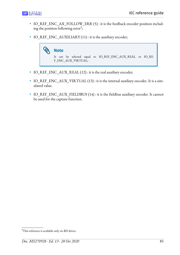- IO\_REF\_ENC\_AX\_FOLLOW\_ERR (5) : it is the feedback encoder position including the position following error<sup>2</sup>;
- IO\_REF\_ENC\_AUXILIARY (11) : it is the auxiliary encoder;



- IO\_REF\_ENC\_AUX\_REAL (12) : it is the real auxiliary encoder;
- IO\_REF\_ENC\_AUX\_VIRTUAL (13) : it is the internal auxiliary encoder. It is a simulated value.
- IO\_REF\_ENC\_AUX\_FIELDBUS (14) : it is the fieldbus auxiliary encoder. It cannot be used for the capture function.

<sup>&</sup>lt;sup>2</sup>This reference is available only on BD drives.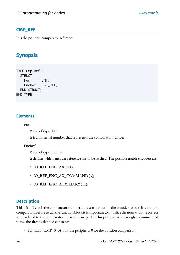# **CMP\_REF**

It is the position comparator reference.

# **Synopsis**

```
TYPE Cmp_Ref :
  STRUCT
     Num : INT;
     EncRef : Enc_Ref;
   END_STRUCT;
END_TYPE
```
## **Elements**

num

Value of type INT

It is an internal number that represents the comparator number.

EncRef

Value of type Enc\_Ref

It defines which encoder reference has to be latched. The possible usable encoders are:

- IO REF ENC AXIS (1);
- IO\_REF\_ENC\_AX\_COMMAND (3);
- IO REF ENC AUXILIARY (11);

# **Description**

This Data Type is the comparator number. It is used to define the encoder to be related to the comparator. Before to call the function block it is important to initialize the num with the correct value related to the comparator it has to manage. For this purpose, it is strongly recommended to use the already defined constants:

• IO\_REF\_CMP\_0 (0) : it is the peripheral 0 for the position comparison;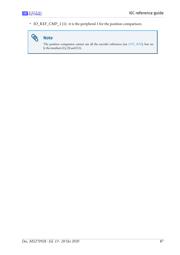B

• IO\_REF\_CMP\_1(1): it is the peripheral 1 for the position comparison;



The position comparator cannot use all the encoder references (see *[ENC\\_REF](#page-89-0)*), but only the numbers  $(1)$ ,  $(3)$  and  $(11)$ .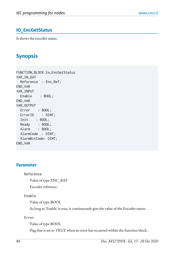# **IO\_EncGetStatus**

It shows the encoder status.

# **Synopsis**

FUNCTION\_BLOCK Io\_EncGetStatus VAR\_IN\_OUT Reference : Enc\_Ref; END\_VAR VAR\_INPUT Enable : BOOL; END\_VAR VAR\_OUTPUT Error : BOOL; ErrorID : DINT; Init : BOOL; Ready : BOOL; Alarm : BOOL; AlarmCode : DINT; AlarmBitCode: DINT; END\_VAR

### **Parameter**

Reference

Value of type ENC\_REF

Encoder reference.

### Enable

Value of type BOOL

As long as 'Enable' is true, it continuously gets the value of the Encoder status.

Error

Value of type BOOL

Flag that is set to TRUE when an error has occurred within the function block.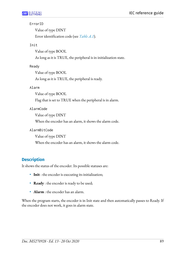### ErrorID

Value of type DINT Error identification code (see *[Table A.1](#page-160-0)*).

### Init

Value of type BOOL

As long as it is TRUE, the peripheral is in initialization state.

### Ready

Value of type BOOL

As long as it is TRUE, the peripheral is ready.

### Alarm

Value of type BOOL

Flag that is set to TRUE when the peripheral is in alarm.

### AlarmCode

Value of type DINT

When the encoder has an alarm, it shows the alarm code.

AlarmBitCode

Value of type DINT

When the encoder has an alarm, it shows the alarm code.

# **Description**

It shows the status of the encoder. Its possible statuses are:

- **Init** : the encoder is executing its initialization;
- **Ready** : the encoder is ready to be used;
- **Alarm** : the encoder has an alarm.

When the program starts, the encoder is in Init state and then automatically passes to Ready. If the encoder does not work, it goes in alarm state.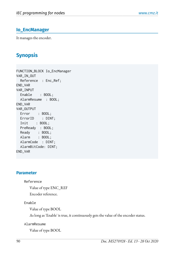## **Io\_EncManager**

It manages the encoder.

# **Synopsis**

FUNCTION\_BLOCK Io\_EncManager VAR\_IN\_OUT Reference : Enc\_Ref; END\_VAR VAR\_INPUT Enable : BOOL; AlarmResume : BOOL; END\_VAR VAR\_OUTPUT Error : BOOL; ErrorID : DINT; Init : BOOL; PreReady : BOOL; Ready : BOOL; Alarm : BOOL; AlarmCode : DINT; AlarmBitCode: DINT; END\_VAR

### **Parameter**

Reference

Value of type ENC\_REF

Encoder reference.

### Enable

Value of type BOOL

As long as 'Enable' is true, it continuously gets the value of the encoder status.

### AlarmResume

Value of type BOOL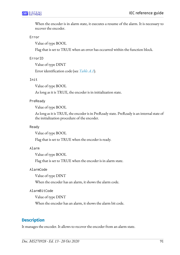When the encoder is in alarm state, it executes a resume of the alarm. It is necessary to recover the encoder.

Error

Value of type BOOL

Flag that is set to TRUE when an error has occurred within the function block.

ErrorID

Value of type DINT

Error identification code (see *[Table A.1](#page-160-0)*).

Init

Value of type BOOL

As long as it is TRUE, the encoder is in initialization state.

### PreReady

Value of type BOOL

As long as it is TRUE, the encoder is in PreReady state. PreReady is an internal state of the initialization procedure of the encoder.

### Ready

Value of type BOOL

Flag that is set to TRUE when the encoder is ready.

### Alarm

Value of type BOOL

Flag that is set to TRUE when the encoder is in alarm state.

AlarmCode

Value of type DINT

When the encoder has an alarm, it shows the alarm code.

### AlarmBitCode

Value of type DINT

When the encoder has an alarm, it shows the alarm bit code.

## **Description**

It manages the encoder. It allows to recover the encoder from an alarm state.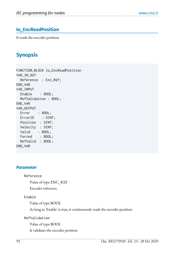# **Io\_EncReadPosition**

It reads the encoder position.

# **Synopsis**

FUNCTION\_BLOCK Io\_EncReadPosition VAR\_IN\_OUT Reference : Enc\_Ref; END\_VAR VAR\_INPUT Enable : BOOL; RefValidation : BOOL; END\_VAR VAR\_OUTPUT Error : BOOL; ErrorID : DINT; Position : DINT; Velocity : DINT; Valid : BOOL; Forced : BOOL; RefValid : BOOL; END\_VAR

### **Parameter**

Reference

Value of type ENC\_REF

Encoder reference.

Enable

Value of type BOOL

As long as 'Enable' is true, it continuously reads the encoder position.

RefValidation

Value of type BOOL

It validates the encoder position.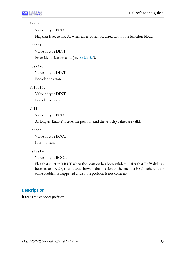### Error

Value of type BOOL

Flag that is set to TRUE when an error has occurred within the function block.

### ErrorID

Value of type DINT

Error identification code (see *[Table A.1](#page-160-0)*).

### Position

Value of type DINT

Encoder position.

### Velocity

Value of type DINT

Encoder velocity.

### Valid

Value of type BOOL

As long as 'Enable' is true, the position and the velocity values are valid.

### Forced

Value of type BOOL

It is not used.

### RefValid

Value of type BOOL

Flag that is set to TRUE when the position has been validate. After that RefValid has been set to TRUE, this output shows if the position of the encoder is still coherent, or some problem is happened and so the position is not coherent.

## **Description**

It reads the encoder position.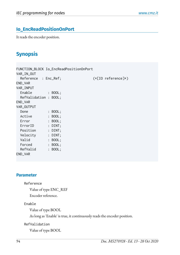# **Io\_EncReadPositionOnPort**

It reads the encoder position.

# **Synopsis**

|                       | FUNCTION_BLOCK Io_EncReadPositionOnPort |                      |
|-----------------------|-----------------------------------------|----------------------|
| VAR_IN_OUT            |                                         |                      |
| Reference : Enc_Ref;  |                                         | $(*[10 reference]*)$ |
| END_VAR               |                                         |                      |
| VAR_INPUT             |                                         |                      |
| Enable                | $\therefore$ BOOL;                      |                      |
| RefValidation : BOOL; |                                         |                      |
| END_VAR               |                                         |                      |
| VAR_OUTPUT            |                                         |                      |
| Done                  | $:$ BOOL;                               |                      |
| Active                | : BOOL;                                 |                      |
| Error                 | : BOOL;                                 |                      |
| ErrorID               | $:$ DINT;                               |                      |
| Position              | $:$ DINT;                               |                      |
| Velocity              | $:$ DINT;                               |                      |
| Valid                 | : BOOL;                                 |                      |
| Forced                | : BOOL;                                 |                      |
| RefValid              | : BOOL;                                 |                      |
| END_VAR               |                                         |                      |

### **Parameter**

#### Reference

Value of type ENC\_REF

Encoder reference.

### Enable

Value of type BOOL

As long as 'Enable' is true, it continuously reads the encoder position.

### RefValidation

Value of type BOOL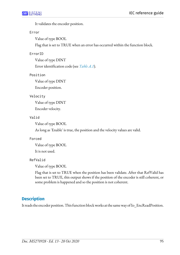It validates the encoder position.

### Error

Value of type BOOL

Flag that is set to TRUE when an error has occurred within the function block.

### ErrorID

Value of type DINT

Error identification code (see *[Table A.1](#page-160-0)*).

### Position

Value of type DINT

Encoder position.

### Velocity

Value of type DINT

Encoder velocity.

### Valid

Value of type BOOL

As long as 'Enable' is true, the position and the velocity values are valid.

### Forced

Value of type BOOL

It is not used.

### RefValid

Value of type BOOL

Flag that is set to TRUE when the position has been validate. After that RefValid has been set to TRUE, this output shows if the position of the encoder is still coherent, or some problem is happened and so the position is not coherent.

## **Description**

It reads the encoder position. This function block works at the same way of Io\_EncReadPosition.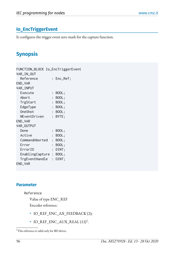# <span id="page-101-0"></span>**Io\_EncTriggerEvent**

It configures the trigger event zero mark for the capture function.

# **Synopsis**

| FUNCTION_BLOCK Io_EncTriggerEvent |                           |               |
|-----------------------------------|---------------------------|---------------|
| VAR_IN_OUT                        |                           |               |
| Reference                         |                           | $: Enc\_Ref;$ |
| END_VAR                           |                           |               |
| VAR_INPUT                         |                           |               |
| Execute                           |                           | BOOL;         |
| Abort                             | $\ddot{\phantom{0}}$      | BOOL;         |
| TrgStart                          |                           | : BOOL;       |
| EdgeType                          |                           | : BOOL;       |
| OneShot                           | $\ddot{\cdot}$            | BOOL;         |
| NEventDriven                      | $\mathbb{R}^{\mathbb{Z}}$ | BYTE;         |
| END_VAR                           |                           |               |
| VAR_OUTPUT                        |                           |               |
| Done                              | $\ddot{\cdot}$            | BOOL;         |
| Active                            | $\ddot{\cdot}$            | BOOL;         |
| CommandAborted                    | $\mathbf{L}$              | BOOL;         |
| Error                             | $\ddot{\cdot}$            | BOOL;         |
| ErrorID                           |                           | $:$ $DINT;$   |
| EnablingCapture : BOOL;           |                           |               |
| TrgEventHandle : DINT;            |                           |               |
| END_VAR                           |                           |               |

## **Parameter**

Reference

Value of type ENC\_REF

Encoder reference.

- IO\_REF\_ENC\_AX\_FEEDBACK (2);
- $IO\_REF\_ENC\_AUX\_REAL$   $(12)^1$ .

<sup>&</sup>lt;sup>1</sup>This reference is valid only for BD drives.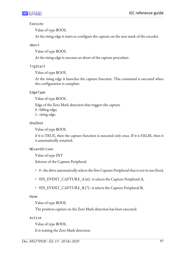### Execute

Value of type BOOL

At the rising edge it starts to configure the capture on the zero mark of the encoder.

### Abort

Value of type BOOL

At the rising edge it executes an abort of the capture procedure.

### TrgStart

Value of type BOOL

At the rising edge it launches the capture function. This command is executed when the configuration is complete.

### EdgeType

Value of type BOOL

Edge of the Zero Mark detection that triggers the capture 0 : falling edge; 1 : rising edge.

### OneShot

Value of type BOOL

if it is TRUE, then the capture function is executed only once. If it is FALSE, then it is automatically restarted.

### NEventDriven

Value of type INT

Selector of the Capture Peripheral:

- $\bullet$  0 : the drive automatically selects the first Capture Peripheral that is not in use (free);
- SYS\_EVENT\_CAPTURE\_A (6) : it selects the Capture Peripheral A;
- SYS\_EVENT\_CAPTURE\_B (7) : it selects the Capture Peripheral B;

Done

Value of type BOOL

The position capture on the Zero Mark detection has been executed.

Active

Value of type BOOL

It is waiting the Zero Mark detection.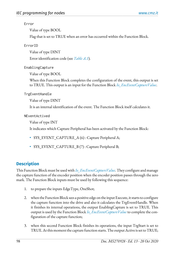### Error

Value of type BOOL

Flag that is set to TRUE when an error has occurred within the Function Block.

ErrorID

Value of type DINT

Error identification code (see *[Table A.1](#page-160-0)*).

EnablingCapture

Value of type BOOL

When this Function Block completes the configuration of the event, this output is set to TRUE. This output is an input for the Function Block *[Io\\_EncEventCaptureValue](#page-105-0)*.

TrgEventHandle

Value of type DINT

It is an internal identification of the event. The Function Block itself calculates it.

NEventActived

Value of type INT

It indicates which Capture Peripheral has been activated by the Function Block:

- SYS\_EVENT\_CAPTURE\_A (6) : Capture Peripheral A;
- SYS\_EVENT\_CAPTURE\_B (7) : Capture Peripheral B;

# **Description**

This Function Block must be usedwith *[Io\\_EncEventCaptureValue](#page-105-0)*. They configure and manage the capture function of the encoder position when the encoder position passes through the zero mark. The Function Block inputs must be used by following this sequence:

- 1. to prepare the inputs EdgeType, OneShot;
- 2. when the Function Block sees a positive edge on the input Execute, it starts to configure the capture function into the drive and also it calculates the TrgEventHandle. When it finishes its internal operations, the output EnablingCapture is set to TRUE. This output is used by the Function Block *[Io\\_EncEventCaptureValue](#page-105-0)* to complete the configuration of the capture function;
- 3. when this second Function Block finishes its operations, the input TrgStart is set to TRUE. At this moment the capture function starts. The output Active is set to TRUE;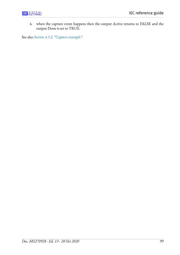4. when the capture event happens then the output Active returns to FALSE and the output Done is set to TRUE.

See also *[Section 4.5.2, "Capture example"](#page-154-0)*.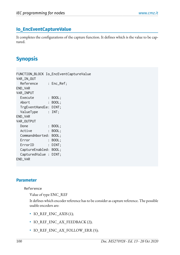## <span id="page-105-0"></span>**Io\_EncEventCaptureValue**

It completes the configurations of the capture function. It defines which is the value to be captured.

# **Synopsis**

FUNCTION\_BLOCK Io\_EncEventCaptureValue VAR\_IN\_OUT Reference : Enc\_Ref; END\_VAR VAR\_INPUT Execute : BOOL; Abort : BOOL; TrgEventHandle: DINT; ValueType : INT; END\_VAR VAR\_OUTPUT Done : BOOL; Active : BOOL; CommandAborted: BOOL; Error : BOOL; ErrorID : DINT; CaptureEnabled: BOOL; CapturedValue : DINT; END\_VAR

### **Parameter**

### Reference

Value of type ENC\_REF

It defines which encoder reference has to be consider as capture reference. The possible usable encoders are:

- IO REF ENC AXIS (1);
- IO\_REF\_ENC\_AX\_FEEDBACK (2);
- IO REF ENC AX FOLLOW ERR (5);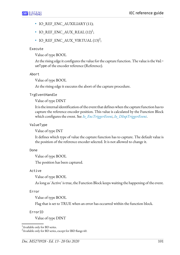- IO\_REF\_ENC\_AUXILIARY (11);
- $IO\_REF\_ENC\_AUX\_REAL (12)<sup>1</sup>;$
- IO\_REF\_ENC\_AUX\_VIRTUAL  $(13)^2$ ;

### Execute

Value of type BOOL

At the rising edge it configures the value for the capture function. The value is the ValueType of the encoder reference (Reference).

### Abort

Value of type BOOL

At the rising edge it executes the abort of the capture procedure.

TrgEventHandle

Value of type DINT

It is the internal identification of the event that defines when the capture function has to capture the reference encoder position. This value is calculated by the Function Block which configures the event. See *[Io\\_EncTriggerEvent](#page-101-0)*, *[Io\\_DInpTriggerEvent](#page-119-0)*.

## ValueType

Value of type INT

It defines which type of value the capture function has to capture. The default value is the position of the reference encoder selected. It is not allowed to change it.

Done

Value of type BOOL

The position has been captured.

Active

Value of type BOOL

As long as 'Active' is true, the Function Block keeps waiting the happening of the event.

Error

Value of type BOOL

Flag that is set to TRUE when an error has occurred within the function block.

ErrorID

Value of type DINT

<sup>&</sup>lt;sup>1</sup>Available only for BD series.

 $2A$ vailable only for BD series, except for IBD flange 60.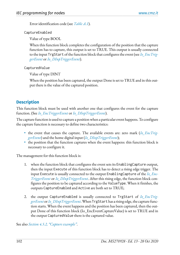Error identification code (see *[Table A.1](#page-160-0)*).

CaptureEnabled

Value of type BOOL

When this function block completes the configuration of the position that the capture function has to capture, this output is set to TRUE. This output is usually connected to the input TrgStart of the function block that configures the event (see *Io EncTrig[gerEvent](#page-101-0)* or *[Io\\_DInpTriggerEvent](#page-119-0)*).

### CapturedValue

Value of type DINT

When the position has been captured, the output Done is set to TRUE and in this output there is the value of the captured position.

## **Description**

This function block must be used with another one that configures the event for the capture function. (See *[Io\\_EncTriggerEvent](#page-101-0)* or *[Io\\_DInpTriggerEvent](#page-119-0)*).

The capture function is used to capture a position when a particular event happens. To configure the capture function is necessary to define two characteristics:

- the event that causes the capture. The available events are: zero mark (*[Io\\_EncTrig](#page-101-0)[gerEvent](#page-101-0)*) and the home digital input (*[Io\\_DInpTriggerEvent](#page-119-0)*);
- the position that the function captures when the event happens: this function block is necessary to configure it.

The management for this function block is:

- 1. when the function block that configures the event sets its EnablingCapture output, then the input Execute of this function block has to detect a rising edge trigger. The input Execute is usually connected to the output EnablingCapture of the *[Io\\_Enc-](#page-101-0)[TriggerEvent](#page-101-0)* or *[Io\\_DInpTriggerEvent](#page-119-0)*. After this rising edge, the function block configures the position to be captured according to the ValueType. When it finishes, the outputs CaptureEnabled and Active are both set to TRUE;
- 2. the output CaptureEnabled is usually connected to TrgStart of *[Io\\_EncTrig](#page-101-0)[gerEvent](#page-101-0)* or *[Io\\_DInpTriggerEvent](#page-119-0)*. When TrgStart hasarising edge,the capturefunction starts. When the event happens and the position has been captured, then the output Done of this function block (Io\_EncEventCaptureValue) is set to TRUE and in the output CapturedValue there is the captured value.

See also *[Section 4.5.2, "Capture example"](#page-154-0)*.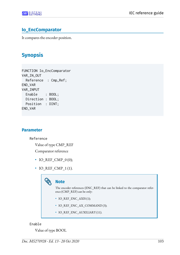## **Io\_EncComparator**

It compares the encoder position.

# **Synopsis**

FUNCTION Io\_EncComparator VAR\_IN\_OUT Reference : Cmp\_Ref; END\_VAR VAR\_INPUT Enable : BOOL; Direction : BOOL; Position : DINT; END\_VAR

### **Parameter**

Reference

Value of type CMP\_REF

Comparator reference

- IO\_REF\_CMP\_0 (0);
- IO\_REF\_CMP\_1(1).

|  | <b>Note</b> |
|--|-------------|

The encoder references (ENC\_REF) that can be linked to the comparator reference (CMP\_REF) can be only:

- IO\_REF\_ENC\_AXIS (1);
- IO\_REF\_ENC\_AX\_COMMAND (3);
- IO\_REF\_ENC\_AUXILIARY (11).

#### Enable

Value of type BOOL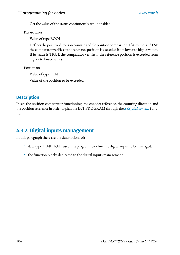Get the value of the status continuously while enabled.

Direction

Value of type BOOL

Defines the positive direction counting of the position comparison. If its value is FALSE the comparator verifies if the reference position is exceeded from lower to higher values. If its value is TRUE the comparator verifies if the reference position is exceeded from higher to lower values.

Position

Value of type DINT

Value of the position to be exceeded.

## **Description**

It sets the position comparator functioning: the encoder reference, the counting direction and the position reference in order to plan the INT PROGRAM through the *[SYS\\_EnEventInt](#page-33-0)* function.

# **4.3.2. Digital inputs management**

In this paragraph there are the descriptions of:

- data type DINP\_REF, used in a program to define the digital input to be managed;
- the function blocks dedicated to the digital inputs management.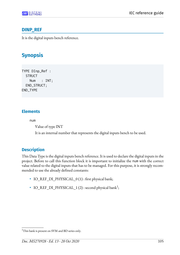## **DINP\_REF**

It is the digital inputs bench reference.

# **Synopsis**

TYPE DInp\_Ref : **STRUCT**  Num : INT; END\_STRUCT; END\_TYPE

## **Elements**

num

Value of type INT

It is an internal number that represents the digital inputs bench to be used.

## **Description**

This Data Type is the digital inputs bench reference. It is used to declare the digital inputs in the project. Before to call this function block it is important to initialize the num with the correct value related to the digital inputs that has to be managed. For this purpose, it is strongly recommended to use the already defined constants:

- IO\_REF\_DI\_PHYSICAL\_0 $(1)$ : first physical bank;
- IO\_REF\_DI\_PHYSICAL\_1 (2) : second physical bank<sup>1</sup>;

<sup>&</sup>lt;sup>1</sup>This bank is present on SVM and BD series only.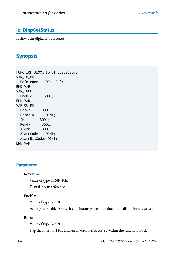## **Io\_DInpGetStatus**

It shows the digital inputs status.

# **Synopsis**

FUNCTION\_BLOCK Io\_DInpGetStatus VAR\_IN\_OUT Reference : DInp\_Ref; END\_VAR VAR\_INPUT Enable : BOOL; END\_VAR VAR\_OUTPUT Error : BOOL; ErrorID : DINT; Init : BOOL; Ready : BOOL; Alarm : BOOL; AlarmCode : DINT; AlarmBitCode: DINT; END\_VAR

#### **Parameter**

Reference

Value of type DINP\_REF

Digital inputs reference.

#### Enable

Value of type BOOL

As long as 'Enable' is true, it continuously gets the value of the digital inputs status.

Error

Value of type BOOL

Flag that is set to TRUE when an error has occurred within the function block.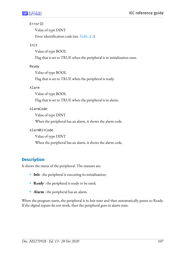#### ErrorID

Value of type DINT Error identification code (see *[Table A.1](#page-160-0)*)

#### Init

Value of type BOOL

Flag that is set to TRUE when the peripheral is in initialization state.

#### Ready

Value of type BOOL

Flag that is set to TRUE when the peripheral is ready.

#### Alarm

Value of type BOOL

Flag that is set to TRUE when the peripheral is in alarm.

#### AlarmCode

Value of type DINT

When the peripheral has an alarm, it shows the alarm code.

AlarmBitCode

Value of type DINT

When the peripheral has an alarm, it shows the alarm code.

## **Description**

It shows the status of the peripheral. The statuses are:

- **Init** : the peripheral is executing its initialization;
- **Ready** : the peripheral is ready to be used;
- **Alarm** : the peripheral has an alarm.

When the program starts, the peripheral is in Init state and then automatically passes to Ready. If the digital inputs do not work, then the peripheral goes in alarm state.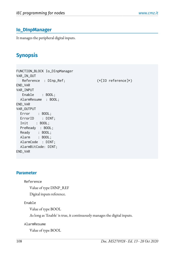## **Io\_DInpManager**

It manages the peripheral digital inputs.

# **Synopsis**

FUNCTION\_BLOCK Io\_DInpManager VAR\_IN\_OUT Reference : DInp\_Ref;  $(*[IO reference]*)$ END\_VAR VAR\_INPUT Enable : BOOL; AlarmResume : BOOL; END\_VAR VAR\_OUTPUT Error : BOOL; ErrorID : DINT; Init : BOOL; PreReady : BOOL; Ready : BOOL; Alarm : BOOL; AlarmCode : DINT; AlarmBitCode: DINT; END\_VAR

#### **Parameter**

Reference

Value of type DINP\_REF

Digital inputs reference.

#### Enable

Value of type BOOL

As long as 'Enable' is true, it continuously manages the digital inputs.

#### AlarmResume

Value of type BOOL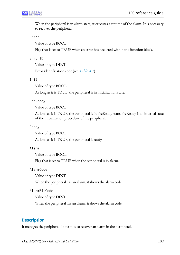When the peripheral is in alarm state, it executes a resume of the alarm. It is necessary to recover the peripheral.

#### Error

Value of type BOOL

Flag that is set to TRUE when an error has occurred within the function block.

#### ErrorID

Value of type DINT

Error identification code (see *[Table A.1](#page-160-0)*)

#### Init

Value of type BOOL

As long as it is TRUE, the peripheral is in initialization state.

#### PreReady

Value of type BOOL

As long as it is TRUE, the peripheral is in PreReady state. PreReady is an internal state of the initialization procedure of the peripheral.

#### Ready

Value of type BOOL

As long as it is TRUE, the peripheral is ready.

#### Alarm

Value of type BOOL

Flag that is set to TRUE when the peripheral is in alarm.

#### AlarmCode

Value of type DINT

When the peripheral has an alarm, it shows the alarm code.

#### AlarmBitCode

Value of type DINT

When the peripheral has an alarm, it shows the alarm code.

### **Description**

It manages the peripheral. It permits to recover an alarm in the peripheral.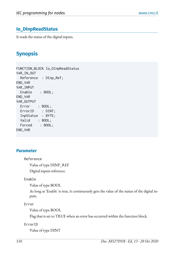## **Io\_DInpReadStatus**

It reads the status of the digital inputs.

# **Synopsis**

FUNCTION\_BLOCK Io\_DInpReadStatus VAR\_IN\_OUT Reference : DInp\_Ref; END\_VAR VAR\_INPUT Enable : BOOL; END\_VAR VAR\_OUTPUT Error : BOOL; ErrorID : DINT; InpStatus : BYTE; Valid : BOOL; Forced : BOOL; END\_VAR

### **Parameter**

Reference

Value of type DINP\_REF

Digital inputs reference.

#### Enable

Value of type BOOL

As long as 'Enable' is true, it continuously gets the value of the status of the digital inputs.

Error

Value of type BOOL

Flag that is set to TRUE when an error has occurred within the function block.

#### ErrorID

Value of type DINT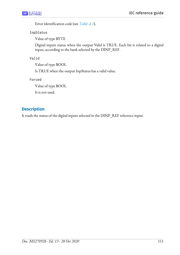Error identification code (see *[Table A.1](#page-160-0)*).

InpStatus

Value of type BYTE

Digital inputs status when the output Valid is TRUE. Each bit is related to a digital input, according to the bank selected by the DINP\_REF.

Valid

Value of type BOOL

Is TRUE when the output InpStatus has a valid value.

Forced

Value of type BOOL

It is not used.

## **Description**

It reads the status of the digital inputs selected in the DINP\_REF reference input.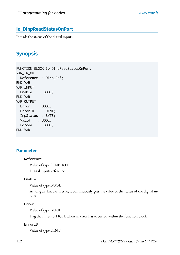## **Io\_DInpReadStatusOnPort**

It reads the status of the digital inputs.

# **Synopsis**

FUNCTION\_BLOCK Io\_DInpReadStatusOnPort VAR\_IN\_OUT Reference : DInp\_Ref; END\_VAR VAR\_INPUT Enable : BOOL; END\_VAR VAR\_OUTPUT Error : BOOL; ErrorID : DINT; InpStatus : BYTE; Valid : BOOL; Forced : BOOL; END\_VAR

### **Parameter**

Reference

Value of type DINP\_REF

Digital inputs reference.

#### Enable

Value of type BOOL

As long as 'Enable' is true, it continuously gets the value of the status of the digital inputs.

Error

Value of type BOOL

Flag that is set to TRUE when an error has occurred within the function block.

#### ErrorID

Value of type DINT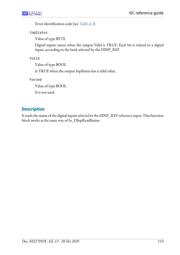Error identification code (see *[Table A.1](#page-160-0)*)

InpStatus

Value of type BYTE

Digital inputs status when the output Valid is TRUE. Each bit is related to a digital input, according to the bank selected by the DINP\_REF.

Valid

Value of type BOOL

Is TRUE when the output InpStatus has a valid value.

Forced

Value of type BOOL

It is not used.

## **Description**

It reads the status of the digital inputs selected in the DINP\_REF reference input. This function block works at the same way of Io\_DInpReadStatus.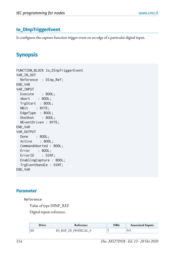## **Io\_DInpTriggerEvent**

It configures the capture function trigger event on an edge of a particular digital input.

# **Synopsis**

FUNCTION\_BLOCK Io\_DInpTriggerEvent VAR\_IN\_OUT Reference : DInp\_Ref; END\_VAR VAR\_INPUT Execute : BOOL; Abort : BOOL; TrgStart : BOOL; NBit : BYTE; EdgeType : BOOL; OneShot : BOOL; NEventDriven : BYTE; END\_VAR VAR\_OUTPUT Done : BOOL; Active : BOOL; CommandAborted : BOOL; Error : BOOL; ErrorID : DINT; EnablingCapture : BOOL; TrgEventHandle : DINT; END\_VAR

### **Parameter**

#### Reference

Value of type DINP\_REF

Digital inputs reference.

| Drive | Reference             | NBit | <b>Associated Inputs</b> |
|-------|-----------------------|------|--------------------------|
|       | REE DI PHYSICAI<br>IΟ |      | ln2                      |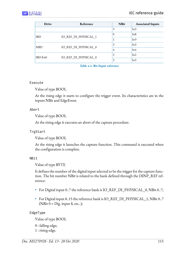| <b>Drive</b> | Reference            | <b>NBit</b> | <b>Associated Inputs</b> |
|--------------|----------------------|-------------|--------------------------|
|              |                      | 3           | In3                      |
| IBD          | IO REF DI PHYSICAL 1 | 0           | In8                      |
|              |                      |             | In9                      |
| <b>NBD</b>   | IO REF DI PHYSICAL 0 | 3           | In3                      |
|              |                      | 4           | In4                      |
| IBDf4.60     | IO REF DI PHYSICAL 0 | 2           | In2                      |
|              |                      | 3           | In3                      |

**Table 4.1. Bit/Input reference**

#### Execute

Value of type BOOL

At the rising edge it starts to configure the trigger event. Its characteristics are in the inputs NBit and EdgeEvent.

#### Abort

Value of type BOOL

At the rising edge it executes an abort of the capture procedure.

#### TrgStart

Value of type BOOL

At the rising edge it launches the capture function. This command is executed when the configuration is complete.

#### NBit

Value of type BYTE

It defines the number of the digital input selected to be the trigger for the capture function. The bit number NBit is related to the bank defined through the DINP\_REF reference:

- For Digital input 0..7 the reference bank is IO\_REF\_DI\_PHYSICAL\_0, NBit 0..7;
- For Digital input 8..15 the reference bank is IO\_REF\_DI\_PHYSICAL\_1, NBit 0..7 (NBit  $0 = \text{Dig.}$  input 8, etc..);

#### EdgeType

Value of type BOOL

0 : falling edge; 1 : rising edge.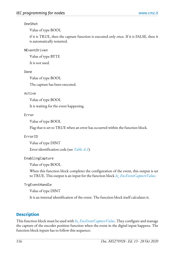#### OneShot

Value of type BOOL

if it is TRUE, then the capture function is executed only once. If it is FALSE, then it is automatically restarted.

#### NEventDriven

Value of type BYTE

It is not used.

#### Done

Value of type BOOL

The capture has been executed.

#### Active

Value of type BOOL

It is waiting for the event happening.

### Error

Value of type BOOL

Flag that is set to TRUE when an error has occurred within the function block.

### ErrorID

Value of type DINT

Error identification code (see *[Table A.1](#page-160-0)*).

#### EnablingCapture

Value of type BOOL

When this function block completes the configuration of the event, this output is set to TRUE. This output is an input for the function block *[Io\\_EncEventCaptureValue](#page-105-0)*.

TrgEventHandle

Value of type DINT

It is an internal identification of the event. The function block itself calculates it.

## **Description**

This function block must be used with *[Io\\_EncEventCaptureValue](#page-105-0)*. They configure and manage the capture of the encoder position function when the event in the digital input happens. The function block inputs has to follow this sequence: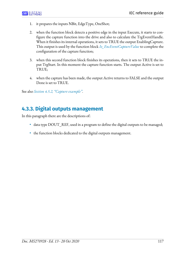- 1. it prepares the inputs NBit, EdgeType, OneShot;
- 2. when the function block detects a positive edge in the input Execute, it starts to configure the capture function into the drive and also to calculate the TrgEventHandle. When it finishes its internal operations, it sets to TRUE the output EnablingCapture. This output is used by the function block *[Io\\_EncEventCaptureValue](#page-105-0)* to complete the configuration of the capture function;
- 3. when this second function block finishes its operations, then it sets to TRUE the input TrgStart. In this moment the capture function starts. The output Active is set to TRUE;
- 4. when the capture has been made, the output Active returns to FALSE and the output Done is set to TRUE.

See also *[Section 4.5.2, "Capture example"](#page-154-0)*.

## **4.3.3. Digital outputs management**

In this paragraph there are the descriptions of:

- data type DOUT\_REF, used in a program to define the digital outputs to be managed;
- the function blocks dedicated to the digital outputs management.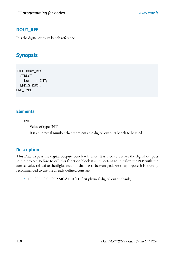## **DOUT\_REF**

It is the digital outputs bench reference.

# **Synopsis**

TYPE DOut\_Ref : **STRUCT**  Num : INT; END\_STRUCT; END\_TYPE

## **Elements**

num

Value of type INT

It is an internal number that represents the digital outputs bench to be used.

## **Description**

This Data Type is the digital outputs bench reference. It is used to declare the digital outputs in the project. Before to call this function block it is important to initialize the num with the correct value related to the digital outputs that has to be managed. For this purpose, it is strongly recommended to use the already defined constant:

• IO\_REF\_DO\_PHYSICAL\_0(1): first physical digital output bank;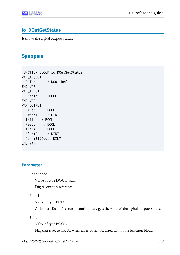## **Io\_DOutGetStatus**

It shows the digital outputs status.

# **Synopsis**

FUNCTION\_BLOCK Io\_DOutGetStatus VAR\_IN\_OUT Reference : DOut\_Ref; END\_VAR VAR\_INPUT Enable : BOOL; END\_VAR VAR\_OUTPUT Error : BOOL; ErrorID : DINT; Init : BOOL; Ready : BOOL; Alarm : BOOL; AlarmCode : DINT; AlarmBitCode: DINT; END\_VAR

### **Parameter**

Reference

Value of type DOUT\_REF

Digital outputs reference

Enable

Value of type BOOL

As long as 'Enable' is true, it continuously gets the value of the digital outputs status.

Error

Value of type BOOL

Flag that is set to TRUE when an error has occurred within the function block.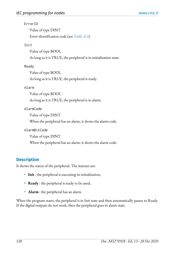#### ErrorID

Value of type DINT Error identification code (see *[Table A.1](#page-160-0)*).

#### Init

Value of type BOOL

As long as it is TRUE, the peripheral is in initialization state.

#### Ready

Value of type BOOL

As long as it is TRUE, the peripheral is ready.

#### Alarm

Value of type BOOL

As long as it is TRUE, the peripheral is in alarm.

#### AlarmCode

Value of type DINT

When the peripheral has an alarm, it shows the alarm code.

AlarmBitCode

Value of type DINT

When the peripheral has an alarm, it shows the alarm code.

## **Description**

It shows the status of the peripheral. The statuses are:

- **Init** : the peripheral is executing its initialization;
- **Ready** : the peripheral is ready to be used;
- **Alarm** : the peripheral has an alarm.

When the program starts, the peripheral is in Init state and then automatically passes to Ready. If the digital outputs do not work, then the peripheral goes in alarm state.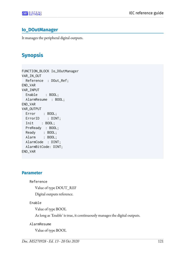## **Io\_DOutManager**

It manages the peripheral digital outputs.

# **Synopsis**

FUNCTION\_BLOCK Io\_DOutManager VAR\_IN\_OUT Reference : DOut\_Ref; END\_VAR VAR\_INPUT Enable : BOOL; AlarmResume : BOOL; END\_VAR VAR\_OUTPUT Error : BOOL; ErrorID : DINT; Init : BOOL; PreReady : BOOL; Ready : BOOL; Alarm : BOOL; AlarmCode : DINT; AlarmBitCode: DINT; END\_VAR

#### **Parameter**

Reference

Value of type DOUT\_REF

Digital outputs reference.

#### Enable

Value of type BOOL

As long as 'Enable' is true, it continuously manages the digital outputs.

#### AlarmResume

Value of type BOOL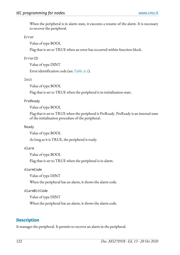When the peripheral is in alarm state, it executes a resume of the alarm. It is necessary to recover the peripheral.

#### Error

Value of type BOOL

Flag that is set to TRUE when an error has occurred within function block.

#### ErrorID

Value of type DINT

Error identification code (see *[Table A.1](#page-160-0)*).

#### Init

Value of type BOOL

Flag that is set to TRUE when the peripheral is in initialization state.

#### PreReady

Value of type BOOL

Flag that is set to TRUE when the peripheral is PreReady. PreReady is an internal state of the initialization procedure of the peripheral.

#### Ready

Value of type BOOL

As long as it is TRUE, the peripheral is ready.

#### Alarm

Value of type BOOL

Flag that is set to TRUE when the peripheral is in alarm.

AlarmCode

Value of type DINT

When the peripheral has an alarm, it shows the alarm code.

#### AlarmBitCode

Value of type DINT

When the peripheral has an alarm, it shows the alarm code.

## **Description**

It manages the peripheral. It permits to recover an alarm in the peripheral.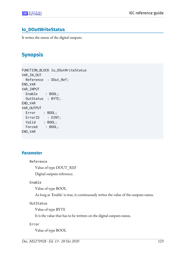## **Io\_DOutWriteStatus**

It writes the status of the digital outputs.

# **Synopsis**

FUNCTION\_BLOCK Io\_DOutWriteStatus VAR\_IN\_OUT Reference : DOut\_Ref; END\_VAR VAR\_INPUT Enable : BOOL; OutStatus : BYTE; END\_VAR VAR\_OUTPUT Error : BOOL; ErrorID : DINT; Valid : BOOL; Forced : BOOL; END\_VAR

### **Parameter**

Reference

Value of type DOUT\_REF

Digital outputs reference.

#### Enable

Value of type BOOL

As long as 'Enable' is true, it continuously writes the value of the outputs status.

OutStatus

Value of type BYTE

It is the value that has to be written on the digital outputs status.

Error

Value of type BOOL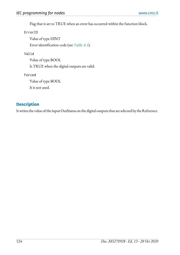Flag that is set to TRUE when an error has occurred within the function block.

ErrorID

Value of type DINT Error identification code (see *[Table A.1](#page-160-0)*).

#### Valid

Value of type BOOL Is TRUE when the digital outputs are valid.

Forced

Value of type BOOL

It is not used.

## **Description**

It writes the value of the input OutStatus on the digital outputs that are selected by the Reference.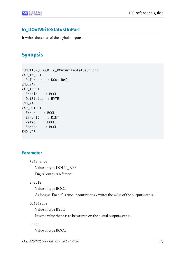## **Io\_DOutWriteStatusOnPort**

It writes the status of the digital outputs.

# **Synopsis**

FUNCTION\_BLOCK Io\_DOutWriteStatusOnPort VAR\_IN\_OUT Reference : DOut\_Ref; END\_VAR VAR\_INPUT Enable : BOOL; OutStatus : BYTE; END\_VAR VAR\_OUTPUT Error : BOOL; ErrorID : DINT; Valid : BOOL; Forced : BOOL; END\_VAR

### **Parameter**

Reference

Value of type DOUT\_REF

Digital outputs reference.

#### Enable

Value of type BOOL

As long as 'Enable' is true, it continuously writes the value of the outputs status.

OutStatus

Value of type BYTE

It is the value that has to be written on the digital outputs status.

Error

Value of type BOOL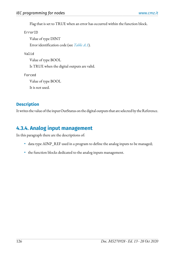Flag that is set to TRUE when an error has occurred within the function block.

ErrorID

Value of type DINT Error identification code (see *[Table A.1](#page-160-0)*).

Valid

Value of type BOOL Is TRUE when the digital outputs are valid.

Forced

Value of type BOOL It is not used.

## **Description**

It writes the value of the input OutStatus on the digital outputs that are selected by the Reference.

# **4.3.4. Analog input management**

In this paragraph there are the descriptions of:

- data type AINP\_REF used in a program to define the analog inputs to be managed;
- the function blocks dedicated to the analog inputs management.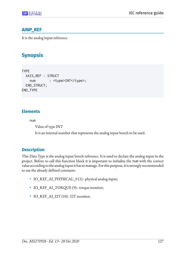

## **AINP\_REF**

It is the analog input reference.

# **Synopsis**

```
TYPE
  AXIS_REF : STRUCT
   num : <type>INT</type>;
  END_STRUCT;
END_TYPE
```
## **Elements**

num

Value of type INT

It is an internal number that represents the analog input bench to be used.

## **Description**

This Data Type is the analog input bench reference. It is used to declare the analog input in the project. Before to call this function block it is important to initialize the num with the correct value according to the analog input it has to manage. For this purpose, it is strongly recommended to use the already defined constants:

- IO\_REF\_AI\_PHYSICAL\_0 (1) : physical analog input;
- IO\_REF\_AI\_TORQUE (9) : torque monitor;
- IO REF AI  $I2T (10)$ : I2T monitor;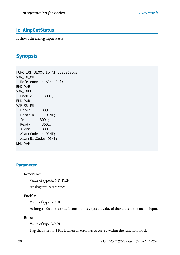## **Io\_AInpGetStatus**

It shows the analog input status.

# **Synopsis**

FUNCTION\_BLOCK Io\_AInpGetStatus VAR\_IN\_OUT Reference : AInp\_Ref; END\_VAR VAR\_INPUT Enable : BOOL; END\_VAR VAR\_OUTPUT Error : BOOL; ErrorID : DINT; Init : BOOL; Ready : BOOL; Alarm : BOOL; AlarmCode : DINT; AlarmBitCode: DINT; END\_VAR

#### **Parameter**

Reference

Value of type AINP\_REF

Analog inputs reference.

#### Enable

Value of type BOOL

As long as 'Enable' is true, it continuously gets the value of the status of the analog input.

Error

Value of type BOOL

Flag that is set to TRUE when an error has occurred within the function block.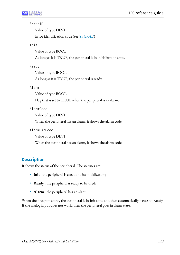#### ErrorID

Value of type DINT Error identification code (see *[Table A.1](#page-160-0)*)

#### Init

Value of type BOOL

As long as it is TRUE, the peripheral is in initialization state.

#### Ready

Value of type BOOL

As long as it is TRUE, the peripheral is ready.

#### Alarm

Value of type BOOL

Flag that is set to TRUE when the peripheral is in alarm.

#### AlarmCode

Value of type DINT

When the peripheral has an alarm, it shows the alarm code.

AlarmBitCode

Value of type DINT

When the peripheral has an alarm, it shows the alarm code.

## **Description**

It shows the status of the peripheral. The statuses are:

- **Init** : the peripheral is executing its initialization;
- **Ready** : the peripheral is ready to be used;
- **Alarm** : the peripheral has an alarm.

When the program starts, the peripheral is in Init state and then automatically passes to Ready. If the analog input does not work, then the peripheral goes in alarm state.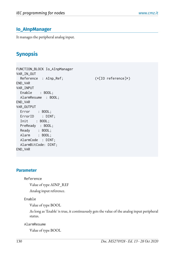## **Io\_AInpManager**

It manages the peripheral analog input.

# **Synopsis**

FUNCTION\_BLOCK Io\_AInpManager VAR\_IN\_OUT Reference : AInp\_Ref; (\*[IO reference]\*) END\_VAR VAR\_INPUT Enable : BOOL; AlarmResume : BOOL; END\_VAR VAR\_OUTPUT Error : BOOL; ErrorID : DINT; Init : BOOL; PreReady : BOOL; Ready : BOOL; Alarm : BOOL; AlarmCode : DINT; AlarmBitCode: DINT; END\_VAR

### **Parameter**

Reference

Value of type AINP\_REF Analog input reference.

Enable

Value of type BOOL

As long as 'Enable' is true, it continuously gets the value of the analog input peripheral status.

AlarmResume

Value of type BOOL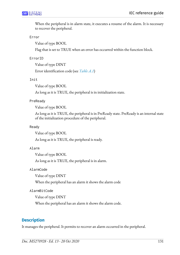When the peripheral is in alarm state, it executes a resume of the alarm. It is necessary to recover the peripheral.

#### Error

Value of type BOOL

Flag that is set to TRUE when an error has occurred within the function block.

#### ErrorID

Value of type DINT

Error identification code (see *[Table A.1](#page-160-0)*)

#### Init

Value of type BOOL

As long as it is TRUE, the peripheral is in initialization state.

#### PreReady

Value of type BOOL

As long as it is TRUE, the peripheral is in PreReady state. PreReady is an internal state of the initialization procedure of the peripheral.

#### Ready

Value of type BOOL

As long as it is TRUE, the peripheral is ready.

#### Alarm

Value of type BOOL

As long as it is TRUE, the peripheral is in alarm.

AlarmCode

Value of type DINT

When the peripheral has an alarm it shows the alarm code

#### AlarmBitCode

Value of type DINT

When the peripheral has an alarm it shows the alarm code.

### **Description**

It manages the peripheral. It permits to recover an alarm occurred in the peripheral.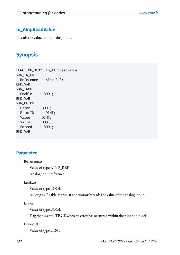## **Io\_AInpReadValue**

It reads the value of the analog input.

# **Synopsis**

FUNCTION\_BLOCK Io\_AInpReadValue VAR\_IN\_OUT Reference : AInp\_Ref; END\_VAR VAR\_INPUT Enable : BOOL; END\_VAR VAR\_OUTPUT Error : BOOL; ErrorID : DINT; Value : DINT; Valid : BOOL; Forced : BOOL; END\_VAR

### **Parameter**

Reference

Value of type AINP\_REF

Analog input reference.

#### Enable

Value of type BOOL

As long as 'Enable' is true, it continuously reads the value of the analog input.

Error

Value of type BOOL

Flag that is set to TRUE when an error has occurred within the function block.

ErrorID

Value of type DINT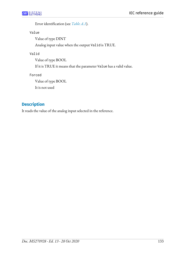Error identification (see *[Table A.1](#page-160-0)*).

Value

Value of type DINT

Analog input value when the output Valid is TRUE.

### Valid

Value of type BOOL

If it is TRUE it means that the parameter Value has a valid value.

Forced

Value of type BOOL

It is not used

## **Description**

It reads the value of the analog input selected in the reference.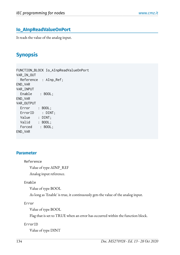## **Io\_AInpReadValueOnPort**

It reads the value of the analog input.

# **Synopsis**

FUNCTION\_BLOCK Io\_AInpReadValueOnPort VAR\_IN\_OUT Reference : AInp\_Ref; END\_VAR VAR\_INPUT Enable : BOOL; END\_VAR VAR\_OUTPUT Error : BOOL; ErrorID : DINT; Value : DINT; Valid : BOOL; Forced : BOOL; END\_VAR

### **Parameter**

Reference

Value of type AINP\_REF

Analog input reference.

#### Enable

Value of type BOOL

As long as 'Enable' is true, it continuously gets the value of the analog input.

Error

Value of type BOOL

Flag that is set to TRUE when an error has occurred within the function block.

ErrorID

Value of type DINT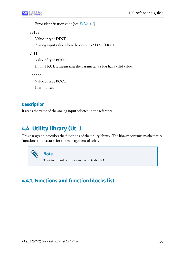Error identification code (see *[Table A.1](#page-160-0)*).

Value

Value of type DINT

Analog input value when the output Valid is TRUE.

Valid

Value of type BOOL

If it is TRUE it means that the parameter Value has a valid value.

Forced

Value of type BOOL

It is not used

## **Description**

It reads the value of the analog input selected in the reference.

# **4.4. Utility library (Ut\_)**

This paragraph describes the functions of the utility library. The library contains mathematical functions and features for the management of solar.

**Note**

These functionalities are not supported in the IBD.

# **4.4.1. Functions and function blocks list**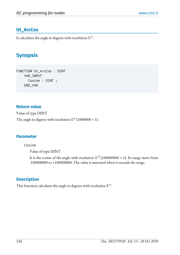## **Ut\_ArcCos**

It calculates the angle in degrees with resolution  $\rm E^{-6}.$ 

# **Synopsis**

FUNCTION Ut\_ArcCos : DINT VAR\_INPUT Cosine : DINT ; END\_VAR

### **Return value**

Value of type DINT The angle in degrees with resolution  $E^{\text{-}6}$  (1000000 = 1).

### **Parameter**

Cosine

Value of type DINT

It is the cosine of the angle with resolution  $E^{-8}$  (100000000 = 1). Its range starts from -100000000 to +100000000. The value is saturated when it exceeds the range.

## **Description**

This function calculates the angle in degrees with resolution  $\rm E^{-6}.$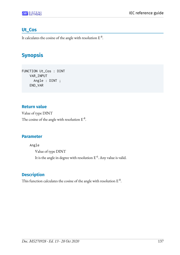## **Ut\_Cos**

It calculates the cosine of the angle with resolution  $\mathrm{E}^{\text{-}8}.$ 

# **Synopsis**

FUNCTION Ut\_Cos : DINT VAR\_INPUT Angle : DINT ; END\_VAR

## **Return value**

Value of type DINT The cosine of the angle with resolution  $E^{-8}$ .

## **Parameter**

Angle Value of type DINT It is the angle in degree with resolution  $\mathrm{E}^{\text{-}6}.$  Any value is valid.

## **Description**

This function calculates the cosine of the angle with resolution  $\mathrm{E}^{\text{-}8}.$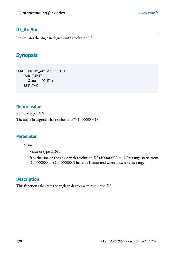## **Ut\_ArcSin**

It calculates the angle in degrees with resolution  $\rm E^{-6}.$ 

# **Synopsis**

FUNCTION Ut\_ArcSin : DINT VAR\_INPUT Sine : DINT ; END\_VAR

### **Return value**

Value of type DINT

The angle in degrees with resolution  $E^{\text{-}6}$  (1000000 = 1).

#### **Parameter**

Sine

Value of type DINT

It is the sine of the angle with resolution  $E^{-8}$  (100000000 = 1). Its range starts from -100000000 to +100000000. The value is saturated when it exceeds the range.

## **Description**

This function calculates the angle in degrees with resolution  $\rm E^{-6}.$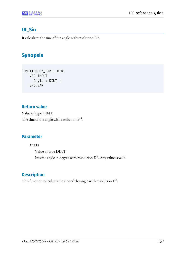## **Ut\_Sin**

It calculates the sine of the angle with resolution  $\mathrm{E}^{\text{-}8}.$ 

## **Synopsis**

FUNCTION Ut\_Sin : DINT VAR\_INPUT Angle : DINT ; END\_VAR

### **Return value**

Value of type DINT The sine of the angle with resolution  $E^{-8}$ .

## **Parameter**

Angle Value of type DINT It is the angle in degree with resolution  $\mathrm{E}^{\text{-}6}.$  Any value is valid.

## **Description**

This function calculates the sine of the angle with resolution  $\mathrm{E}^{\text{-}8}.$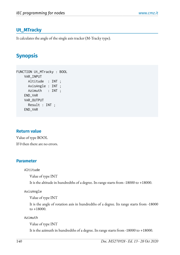### **Ut\_MTracky**

It calculates the angle of the single axis tracker (M-Tracky type).

## **Synopsis**

```
FUNCTION Ut_MTracky : BOOL 
     VAR_INPUT
       Altitude : INT ;
       AxisAngle : INT ;
       Azimuth : INT ;
     END_VAR
     VAR_OUTPUT
       Result : INT ;
     END_VAR
```
#### **Return value**

Value of type BOOL If 0 then there are no errors.

#### **Parameter**

#### Altitude

Value of type INT

It is the altitude in hundredths of a degree. Its range starts from -18000 to +18000.

#### AxisAngle

Value of type INT

It is the angle of rotation axis in hundredths of a degree. Its range starts from -18000  $to +18000.$ 

Azimuth

Value of type INT

It is the azimuth in hundredths of a degree. Its range starts from -18000 to +18000.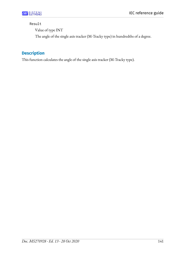#### Result

Value of type INT

The angle of the single axis tracker (M-Tracky type) in hundredths of a degree.

## **Description**

This function calculates the angle of the single axis tracker (M-Tracky type).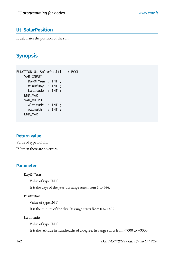## **Ut\_SolarPosition**

It calculates the position of the sun.

## **Synopsis**

```
FUNCTION Ut_SolarPosition : BOOL 
     VAR_INPUT
       DayOfYear : INT ;
       MinOfDay : INT ;
       Latitude : INT ;
     END_VAR
     VAR_OUTPUT
       Altitude : INT ;
       Azimuth : INT ;
     END_VAR
```
#### **Return value**

Value of type BOOL If 0 then there are no errors.

#### **Parameter**

DayOfYear

Value of type INT

It is the days of the year. Its range starts from 1 to 366.

MinOfDay

Value of type INT

It is the minute of the day. Its range starts from 0 to 1439.

Latitude

Value of type INT

It is the latitude in hundredths of a degree. Its range starts from -9000 to +9000.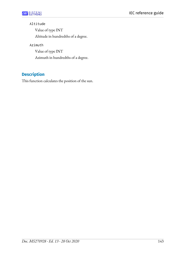#### Altitude

Value of type INT Altitude in hundredths of a degree.

Azimuth

Value of type INT Azimuth in hundredths of a degree.

## **Description**

This function calculates the position of the sun.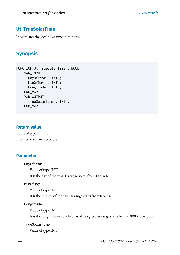## **Ut\_TrueSolarTime**

It calculates the local solar time in minutes.

## **Synopsis**

```
FUNCTION Ut_TrueSolarTime : BOOL 
     VAR_INPUT
       DayOfYear : INT ;
       MinOfDay : INT ;
       Longitude : INT ;
     END_VAR
     VAR_OUTPUT
       TrueSolarTime : INT ;
     END_VAR
```
#### **Return value**

Value of type BOOL If 0 then there are no errors.

#### **Parameter**

DayOfYear Value of type INT It is the day of the year. Its range starts from 1 to 366.

#### MinOfDay

Value of type INT It is the minute of the day. Its range starts from 0 to 1439.

Longitude

Value of type INT

It is the longitude in hundredths of a degree. Its range starts from -18000 to +18000.

TrueSolarTime Value of type INT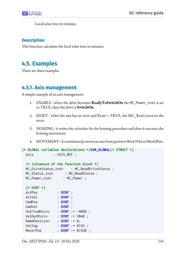

Local solar time in minutes.

#### **Description**

This function calculates the local solar time in minutes.

## **4.5. Examples**

There are three examples.

## **4.5.1. Axis management**

A simple example of an axis management:

- 1. ENABLE : when the drive becomes **ReadyToSwitchOn** the MC\_Power\_inst is set to TRUE, then the drive is **SwitchOn**.
- 2. RESET : when the axis has an error and Reset = TRUE, the MC\_Reset recovers the error;
- 3. HOMING : it writes the velocities for the homing procedure and then it executes the homing movement;
- 4. MOVEMENT : it continuously movesan axis from position Move1Pos to Move2Pos.

```
(* GLOBAL variables declarations *)VAR_GLOBAL(* STRUCT *)
 Axis : AXIS_REF ;
  (* instances of the function block *)
 MC_DriveStatus_inst : MC_ReadDriveStatus ;
 MC_Status_inst : MC_ReadStatus ;
  MC_Power_inst : MC_Power ;
  (* DINT *) 
  ActPos : DINT ;
  ActVel : DINT ;
  CmdPos : DINT ;
  CmdVel : DINT ;
  VelFindMicro : DINT := -4096 ;
  VelOutMicro : DINT := 2048 ;
 HomePosition : DINT := 0;
  VelJog : DINT := 8192 ;
  Move1Pos : DINT := 81920 ;
```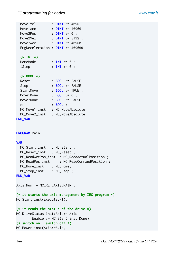|                                    | Move1Vel : DINT := 4096 ;                            |  |  |  |  |
|------------------------------------|------------------------------------------------------|--|--|--|--|
|                                    | Move1Acc : DINT := 40960 ;                           |  |  |  |  |
| Move2Pos : $DINT := 0$ ;           |                                                      |  |  |  |  |
|                                    | Move2Vel : DINT := 8192 ;                            |  |  |  |  |
|                                    | Move2Acc : DINT := 40960 ;                           |  |  |  |  |
|                                    | EmgDeceleration : $DINT$ := 409600;                  |  |  |  |  |
| $(* INT *)$                        |                                                      |  |  |  |  |
| HomeMode                           | $\therefore$ INT := 5;                               |  |  |  |  |
| iStep                              | : <b>INT</b> := 0 ;                                  |  |  |  |  |
| $(*$ BOOL $*)$                     |                                                      |  |  |  |  |
| Reset                              | : <b>BOOL</b> := FALSE ;                             |  |  |  |  |
| Stop                               | : <b>BOOL</b> := FALSE ;                             |  |  |  |  |
|                                    | StartMove : <b>BOOL</b> := TRUE ;                    |  |  |  |  |
| Move1Done : $\text{BOOL} := 0$ ;   |                                                      |  |  |  |  |
|                                    | Move2Done : <b>BOOL</b> := FALSE;                    |  |  |  |  |
| err                                | $:$ BOOL $:$                                         |  |  |  |  |
|                                    | MC_Move1_inst : MC_MoveAbsolute ;                    |  |  |  |  |
|                                    | MC_Move2_inst : MC_MoveAbsolute ;                    |  |  |  |  |
| <b>END_VAR</b>                     |                                                      |  |  |  |  |
| <b>PROGRAM</b> main                |                                                      |  |  |  |  |
| <b>VAR</b>                         |                                                      |  |  |  |  |
| MC_Start_inst : MC_Start ;         |                                                      |  |  |  |  |
| MC_Reset_inst : MC_Reset ;         |                                                      |  |  |  |  |
|                                    | MC_ReadActPos_inst : MC_ReadActualPosition ;         |  |  |  |  |
|                                    | MC_ReadPos_inst : MC_ReadCommandPosition ;           |  |  |  |  |
| MC_Home_inst : MC_Home;            |                                                      |  |  |  |  |
| MC_Stop_inst : MC_Stop;            |                                                      |  |  |  |  |
| <b>END_VAR</b>                     |                                                      |  |  |  |  |
| $Axis.Num := MC\_REF_AXIS\_MAIN$ ; |                                                      |  |  |  |  |
|                                    |                                                      |  |  |  |  |
|                                    | (* it starts the axis management by IEC program $*)$ |  |  |  |  |
| MC_Start_inst(Execute:=1);         |                                                      |  |  |  |  |
|                                    | (* it reads the status of the drive $*)$             |  |  |  |  |
| MC_DriveStatus_inst(Axis:= Axis,   |                                                      |  |  |  |  |
|                                    | Enable := MC_Start_inst.Done);                       |  |  |  |  |
| $(*$ switch on - switch off $*)$   |                                                      |  |  |  |  |
| MC_Power_inst(Axis:=Axis,          |                                                      |  |  |  |  |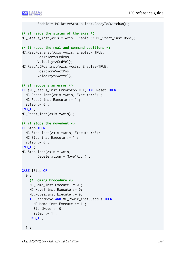```
 Enable:= MC_DriveStatus_inst.ReadyToSwitchOn) ;
(* it reads the status of the axis *)
MC_Status_inst(Axis:= Axis, Enable := MC_Start_inst.Done);
(* it reads the real and command positions *)
MC_ReadPos_inst(Axis:=Axis, Enable:= TRUE, 
         Position=>CmdPos, 
         Velocity=>CmdVel);
MC_ReadActPos_inst(Axis:=Axis, Enable:=TRUE, 
         Position=>ActPos, 
         Velocity=>ActVel);
(* it recovers an error *)
IF (MC_Status_inst.ErrorStop = 1) AND Reset THEN
   MC_Reset_inst(Axis:=Axis, Execute:=0) ;
  MC_Reset_inst.Execute := 1 ;
  iStep := 0 ;
END_IF;
MC_Reset_inst(Axis:=Axis) ;
(* it stops the movement *)
IF Stop THEN
  MC_Stop_inst(Axis:=Axis, Execute :=0);
  MC_Stop_inst.Execute := 1 ;
  iStep := 0 ;
END_IF; 
MC_Stop_inst(Axis:= Axis, 
        Deceleration:= Move1Acc ) ;
CASE iStep OF
   0 :
     (* Homing Procedure *)
    MC_Home_inst.Execute := 0 ;
     MC_Move1_inst.Execute := 0;
    MC Move2 inst.Execute := 0:
     IF StartMove AND MC_Power_inst.Status THEN
       MC_Home_inst.Execute := 1 ;
      StartMove := 0;
      iStep := 1;
     END_IF; 
   1 :
```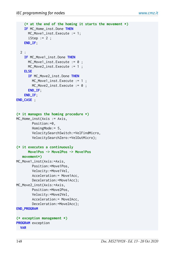```
 (* at the end of the homing it starts the movement *)
     IF MC_Home_inst.Done THEN
       MC_Move1_inst.Execute := 1;
      iStep := 2 ;
     END_IF; 
  2: IF MC_Move1_inst.Done THEN
      MC_Move1_inst.Execute := 0 ;
       MC_Move2_inst.Execute := 1 ; 
     ELSE 
       IF MC_Move2_inst.Done THEN
         MC_Move1_inst.Execute := 1 ; 
        MC_Move2_inst.Execute := 0 ;
       END_IF;
     END_IF;
END_CASE ;
(* it manages the homing procedure *)
MC_Home_inst(Axis := Axis, 
         Position:=0,
         HomingMode:= 5,
         VelocitySearchSwitch:=VelFindMicro,
         VelocitySearchZero:=VelOutMicro);
(* it executes a continuously 
       Move1Pos -> Move2Pos -> Move1Pos 
    movement*)
MC_Move1_inst(Axis:=Axis, 
         Position:=Move1Pos,
         Velocity:=Move1Vel, 
         Acceleration:= Move1Acc,
         Deceleration:=Move1Acc);
MC Move2 inst(Axis:=Axis,
         Position:=Move2Pos,
         Velocity:=Move2Vel, 
         Acceleration:= Move2Acc,
         Deceleration:=Move2Acc);
END_PROGRAM
(* exception management *)
PROGRAM exception
   VAR
```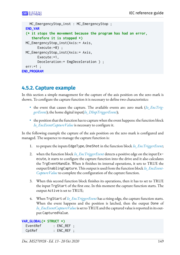```
 MC_EmergencyStop_inst : MC_EmergencyStop ;
   END_VAR
   (* it stops the movement because the program has had an error,
      therefore it is stopped *)
   MC_EmergencyStop_inst(Axis:= Axis, 
         Execute:=0) ;
   MC_EmergencyStop_inst(Axis:= Axis, 
         Execute:=1, 
         Deceleration:= EmgDeceleration ) ;
  err:=1;
END_PROGRAM
```
## **4.5.2. Capture example**

In this section a simple management for the capture of the axis position on the zero mark is shown. To configure the capture function it is necessary to define two characteristics:

- the event that causes the capture. The available events are: zero mark (*[Io\\_EncTrig](#page-101-0)[gerEvent](#page-101-0)*); the home digital input(*[Io\\_DInpTriggerEvent](#page-119-0)*);
- $\bullet$  the position that the function has to capture when the event happens: the function block *[Io\\_EncEventCaptureValue](#page-105-0)* is necessary to configure it.

In the following example the capture of the axis position on the zero mark is configured and managed. The sequence to manage the capture function is:

- 1. to prepare the inputs EdgeType, OneShot in the function block *[Io\\_EncTriggerEvent](#page-101-0)*;
- 2. when the function block *[Io\\_EncTriggerEvent](#page-101-0)* detects a positive edge on the input Execute, it starts to configure the capture function into the drive and it also calculates the TrgEventHandle. When it finishes its internal operations, it sets to TRUE the output EnablingCapture.This outputis used from thefunction block *[Io\\_EncEvent-](#page-105-0)[CaptureValue](#page-105-0)* to complete the configuration of the capture function.
- 3. When this second function block finishes its operations, then it has to set to TRUE the input TrgStart of the first one. In this moment the capture function starts. The output Active is set to TRUE;
- 4. When TrgStart of *[Io\\_EncTriggerEvent](#page-101-0)* has a rising edge, the capture function starts. When the event happens and the position is latched, then the output Done of *[Io\\_EncEventCaptureValue](#page-105-0)* is set to TRUE and the captured value is reported in its output CapturedValue.

```
VAR_GLOBAL(* STRUCT *)
 EventRef : ENC_REF ;
  CptRef : ENC_REF ;
```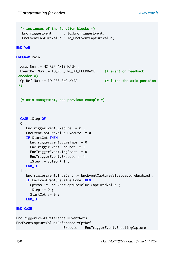```
 (* instances of the function blocks *)
   EncTriggerEvent : Io_EncTriggerEvent;
    EncEventCaptureValue : Io_EncEventCaptureValue;
END_VAR 
PROGRAM main
  Axis.Num := MC_REF_AXIS_MAIN ;
   EventRef.Num := IO_REF_ENC_AX_FEEDBACK ; (* event on feedback
 encoder *)
  CptRef.Num := IO_REF_ENC_AXIS ; (* latch the axis position
  *)
   (* axis management, see previous example *)
  CASE iStep OF
   0 :
      EncTriggerEvent.Execute := 0 ;
      EncEventCaptureValue.Execute := 0; 
      IF StartCpt THEN
        EncTriggerEvent.EdgeType := 0 ;
        EncTriggerEvent.OneShot := 1 ;
        EncTriggerEvent.TrgStart := 0;
        EncTriggerEvent.Execute := 1 ;
       iStep := iStep +1;
     END_IF;
  1: EncTriggerEvent.TrgStart := EncEventCaptureValue.CaptureEnabled ;
      IF EncEventCaptureValue.Done THEN
        CptPos := EncEventCaptureValue.CapturedValue ;
       iStep := 0;
       StartCpt := 0;
      END_IF;
END_CASE ;
EncTriggerEvent(Reference:=EventRef);
EncEventCaptureValue(Reference:=CptRef,
                         Execute := EncTriggerEvent.EnablingCapture,
```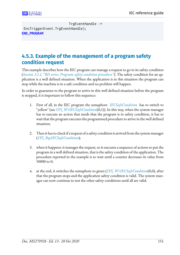TrgEventHandle := EncTriggerEvent.TrgEventHandle); **END\_PROGRAM**

## **4.5.3. Example of the management of a program safety condition request**

This example describes how the IEC program can manage a request to go in its safety condition (*[Section 3.1.1, "BD series: Program safety condition procedure"](#page-16-0)*). The safety condition for an application is a well defined situation. When the application is in this situation the program can stop while the machine is in a safe condition and no problem will happen.

In order to guarantee to the program to arrive in this well defined situation before the program is stopped, it is important to follow this sequence:

- 1. First of all, in the IEC program the semaphore *[IECSafeCondition](#page-16-1)* has to switch to "yellow" (see *[SYS\\_WrIECSafeCondition](#page-46-0)*(0,1)). In this way, when the system manager has to execute an action that needs that the program is in safety condition, it has to wait that the program executes the programmed procedure to arrive in the well defined situation;
- 2. Then it has to check if a request of a safety condition is arrived from the system manager (*[SYS\\_RqsIECSafeCondition](#page-45-0)*);
- 3. when it happens: it manages the request, so it executes a sequence of actions to put the program in a well defined situation, that is the safety condition of the application. The procedure reported in the example is to wait until a counter decreases its value from 50000 to 0;
- 4. at the end, it switches the semaphore to green (*[SYS\\_WrIECSafeCondition](#page-46-0)*(0,0), after that the program stops and the application safety condition is valid. The system manager can now continue to test the other safety conditions until all are valid.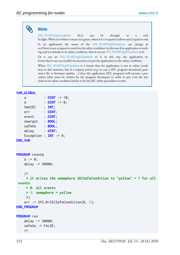## **Note**

*[SYS\\_WrIECSafeCondition](#page-46-0)* (0,1) can be thought as a traffic light. When it is 0 then it means it is green, when it is 1 is equal to yellow and 2 equals to red. In an application the status of the *[SYS\\_WrIECSafeCondition](#page-46-0)* can change also if there is not a request to switch to the safety condition. In this way if an application is working and it is already in its safety condition, then it can set *[SYS\\_WrIECSafeCondition](#page-46-0)* to 0.

Or it can set *[SYS\\_WrIECSafeCondition](#page-46-0)* to 2, in this way the application informs that it can not modify its execution to put the application in the safety condition.

When *[SYS\\_WrIECSafeCondition](#page-46-0)* is 1 means that the application is not in safety condition in this moment, but if a request arrives (e.g. in case a IEC program download, parameter file or firmware update, ...) then the application (IEC program) will execute a procedure (that must be written by the program developer) in order to put even the machine in its safety condition before to let the IEC safety procedure to start.

#### **VAR\_GLOBAL**

| a                      | $DINT := 10;$                                                      |
|------------------------|--------------------------------------------------------------------|
|                        | d : $DINT := 0$ ;                                                  |
| SemIEC : INT;          |                                                                    |
| err : DINT;            |                                                                    |
| event : DINT;          |                                                                    |
| newrqst : BOOL;        |                                                                    |
| safeGo : <b>BOOL</b> ; |                                                                    |
| $delay$ : $DINT$ ;     |                                                                    |
|                        | Exception : <b>INT</b> := $0$ ;                                    |
| <b>END_VAR</b>         |                                                                    |
|                        |                                                                    |
|                        |                                                                    |
| <b>PROGRAM</b> resetp  |                                                                    |
| $a := 0;$              |                                                                    |
| delay $:= 50000;$      |                                                                    |
|                        |                                                                    |
| $(* )$                 |                                                                    |
|                        | * it writes the semaphore IECSafeCondition to "yellow" = 1 for all |
| events                 |                                                                    |
| $* 0: all events$      |                                                                    |
|                        | $* 1:$ semaphore = yellow                                          |
| $\star$ )              |                                                                    |
|                        | $err := SYSTEMIECSafeCondition(0, 1);$                             |
| <b>END_PROGRAM</b>     |                                                                    |
|                        |                                                                    |
| <b>PROGRAM</b> run     |                                                                    |
| delay $:= 50000;$      |                                                                    |
| $safeGo := FALSE;$     |                                                                    |
| $(* )$                 |                                                                    |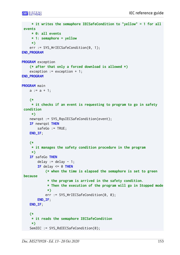```
 * it writes the semaphore IECSafeCondition to "yellow" = 1 for all
 events
      * 0: all events
      * 1: semaphore = yellow
      *)
     err := SYS_WrIECSafeCondition(0, 1); 
END_PROGRAM
PROGRAM exception
     (* after that only a forced download is allowed *)
     exception := exception + 1;
END_PROGRAM
PROGRAM main
    a := a + 1; (*
      * it checks if an event is requesting to program to go in safety
  condition
      *)
     newrqst := SYS_RqsIECSafeCondition(event);
     IF newrqst THEN
        safeGo := TRUE;
     END_IF;
     (*
      * it manages the safety condition procedure in the program
      *)
     IF safeGo THEN 
        delay := delay -1;
        IF delay \leq 0 THEN
             (* when the time is elapsed the semaphore is set to green
  because
              * the program is arrived in the safety condition.
              * Then the execution of the program will go in Stopped mode
              *)
             err := SYS_WrIECSafeCondition(0, 0);
         END_IF;
     END_IF;
     (*
      * it reads the semaphore IECSafeCondition
      *)
    SemIEC := SYS_RdIECSafeCondition(0);
```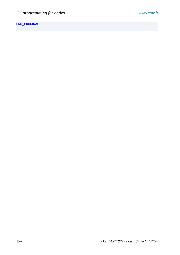### **END\_PROGRAM**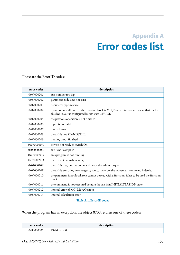## **Appendix A Error codes list**

These are the ErrorID codes:

| error codes | description                                                                                                                                      |
|-------------|--------------------------------------------------------------------------------------------------------------------------------------------------|
| 0x07000201  | axis number too big                                                                                                                              |
| 0x07000202  | parameter code does not exist                                                                                                                    |
| 0x07000203  | parameter type mistake                                                                                                                           |
| 0x07000204  | operation not allowed. If the function block is MC_Power this error can mean that the En-<br>able hw in/out is configured but its state is FALSE |
| 0x07000205  | the previous operation is not finished                                                                                                           |
| 0x07000206  | input is not valid                                                                                                                               |
| 0x07000207  | internal error                                                                                                                                   |
| 0x07000208  | the axis is not STANDSTILL                                                                                                                       |
| 0x07000209  | homing is not finished                                                                                                                           |
| 0x0700020A  | drive is not ready to switch On                                                                                                                  |
| 0x0700020B  | axis is not compiled                                                                                                                             |
| 0x0700020C  | axes program is not running                                                                                                                      |
| 0x0700020D  | there is not enough memory                                                                                                                       |
| 0x0700020E  | the axis is free, but the command needs the axis in torque                                                                                       |
| 0x0700020F  | the axis is executing an emergency ramp, therefore the movement command is denied                                                                |
| 0x07000210  | the parameter is not local, so it cannot be read with a function, it has to be used the function<br>block                                        |
| 0x07000211  | the command is not executed because the axis is in INITIALITAZION state                                                                          |
| 0x07000212  | internal error of MC_MoveCustom                                                                                                                  |
| 0x07000213  | internal calculation error                                                                                                                       |

#### **Table A.1. ErrorID codes**

When the program has an exception, the object 8709 returns one of these codes:

<span id="page-160-0"></span>

| error codes | description   |
|-------------|---------------|
| 0x80000001  | Division by U |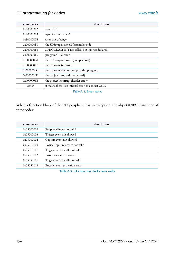| error codes | description                                         |
|-------------|-----------------------------------------------------|
| 0x80000002  | power $0^{\wedge}0$                                 |
| 0x80000003  | sqrt of a number $< 0$                              |
| 0x80000004  | array out of range                                  |
| 0x000000F0  | the SDSetup is too old (assembler old)              |
| 0x000000F8  | a PROGRAM INT n is called, but it is not declared   |
| 0x000000F9  | program CRC error                                   |
| 0x000000FA  | the SDSetup is too old (compiler old)               |
| 0x000000FE  | the firmware is too old                             |
| 0x000000FC  | the firmware does not support this program          |
| 0x000000FD  | the project is too old (header old)                 |
| 0x000000FE  | the project is corrupt (header error)               |
| other       | it means there is an internal error, to contact CMZ |

#### **Table A.2. Error states**

When a function block of the I/O peripheral has an exception, the object 8709 returns one of these codes:

| error codes | description                       |
|-------------|-----------------------------------|
| 0x05000002  | Peripheral index not valid        |
| 0x05000003  | Trigger event not allowed         |
| 0x05000004  | Capture event not allowed         |
| 0x05010100  | Logical input reference not valid |
| 0x05010101  | Trigger event handle not valid    |
| 0x05010102  | Error on event activation         |
| 0x05050101  | Trigger event handle not valid    |
| 0x05050112  | Encoder event activation error    |

**Table A.3. IO's function blocks error codes**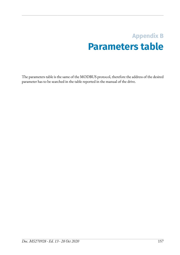## **Appendix B Parameters table**

The parameters table is the same of the MODBUS protocol, therefore the address of the desired parameter has to be searched in the table reported in the manual of the drive.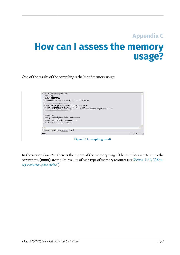## **Appendix C**

# **How can I assess the memory usage?**

One of the results of the compiling is the list of memory usage:



**Figure C.1. compiling result**

In the section *Statistics* there is the report of the memory usage. The numbers written into the parenthesis (nnnn) are the limit values of each type of memory resource (see *[Section 3.2.2, "Mem](#page-20-0)ory [resources](#page-20-0) of the drive"*).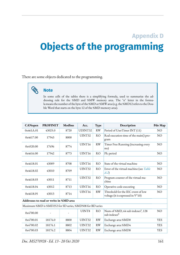## **Appendix D Objects of the programming**

There are some objects dedicated to the programming.



#### **Note**

In some cells of the tables there is a simplifying formula, used to summarize the addressing rule for the %MD and %MW memory area. The "n" letter in the formula means the number of the byte of the %MD or %MW area (e.g. the %MD12 refers to the Double Word that starts on the byte 12 of the %MD memory area).

| <b>CANopen</b>                                            | <b>PROFINET</b> | <b>Modbus</b> | Acc.    | Type           | Description                                                               | Pdo Map        |  |  |
|-----------------------------------------------------------|-----------------|---------------|---------|----------------|---------------------------------------------------------------------------|----------------|--|--|
| 0x461A.01                                                 | 43025.0         | 8720          | UDINT32 | <b>RW</b>      | Period of UserTimer INT (11)                                              | N <sub>O</sub> |  |  |
| 0x4617.00                                                 | 17943           | 8000          | UINT32  | <b>RO</b>      | Real execution time of the main() pro-<br>gram                            | N <sub>O</sub> |  |  |
| 0x4520.00                                                 | 17696           | 8774          | UINT16  | <b>RW</b>      | Timer Free Running (increasing every<br>ms)                               | N <sub>O</sub> |  |  |
| 0x4616.00                                                 | 17942           | 8773          | UINT16  | <b>RO</b>      | Plc period                                                                | N <sub>O</sub> |  |  |
|                                                           |                 |               |         |                |                                                                           |                |  |  |
| 0x4618.01                                                 | 43009           | 8708          | UINT16  | <b>RO</b>      | State of the virtual machine                                              | N <sub>O</sub> |  |  |
| 0x4618.02                                                 | 43010           | 8709          | UINT32  | R <sub>O</sub> | Error of the virtual machine (see Table<br>(A.2)                          | N <sub>O</sub> |  |  |
| 0x4618.03                                                 | 43011           | 8711          | UINT32  | <b>RO</b>      | Program counter of the virtual ma-<br>chine                               | N <sub>O</sub> |  |  |
| 0x4618.04                                                 | 43012           | 8713          | UINT16  | R <sub>O</sub> | Operative code executing                                                  | N <sub>O</sub> |  |  |
| 0x4618.05                                                 | 43013           | 8714          | UINT16  | <b>RW</b>      | Threshold for the IEC event of low<br>voltage (it is expressed in V*10)   | N <sub>O</sub> |  |  |
| Addresses to read or write in %MD area                    |                 |               |         |                |                                                                           |                |  |  |
| Maximum %MD is %MD252 for SD series, %MD508 for BD series |                 |               |         |                |                                                                           |                |  |  |
| 0x4700.00                                                 |                 |               | UINT8   | <b>RO</b>      | Num of %MD, 64 sub indexes <sup>a</sup> , 128<br>sub indexes <sup>b</sup> | N <sub>O</sub> |  |  |
| 0x4700.01                                                 | 18176.0         | 8800          | UINT32  | <b>RW</b>      | Exchange area %MD0                                                        | <b>YES</b>     |  |  |
| 0x4700.02                                                 | 18176.1         | 8802          | UINT32  | <b>RW</b>      | Exchange area %MD4                                                        | <b>YES</b>     |  |  |
| 0x4700.03                                                 | 18176.2         | 8804          | UINT32  | <b>RW</b>      | Exchange area %MD8                                                        | <b>YES</b>     |  |  |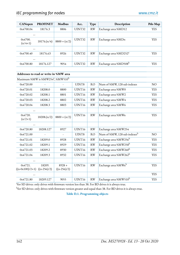| <b>CANopen</b>                                           | <b>PROFINET</b>         | <b>Modbus</b>             | Acc.              | Type                   | Description                              | Pdo Map         |
|----------------------------------------------------------|-------------------------|---------------------------|-------------------|------------------------|------------------------------------------|-----------------|
| 0x4700.04                                                | 18176.3                 | 8806                      | UINT32            | RW                     | Exchange area %MD12                      | <b>YES</b>      |
|                                                          |                         |                           |                   |                        |                                          |                 |
| 0x4700.<br>$(n/4+1)$                                     | 18176(n/4)              | $8800 + (n/2)$            | UINT32            | <b>RW</b>              | Exchange area %MDn                       | <b>YES</b>      |
|                                                          |                         |                           |                   |                        |                                          |                 |
| 0x4700.40                                                | 18176.63                | 8926                      | UINT32            | RW                     | Exchange area %MD252 <sup>a</sup>        | <b>YES</b>      |
|                                                          |                         |                           |                   |                        |                                          |                 |
| 0x4700.80                                                | 18176.127               | 9054                      | UINT32            | RW                     | Exchange area %MD508b                    | <b>YES</b>      |
|                                                          |                         |                           |                   |                        |                                          |                 |
| Addresses to read or write in %MW area                   |                         |                           |                   |                        |                                          |                 |
| Maximum %MW is %MW254 <sup>a</sup> , %MW510 <sup>b</sup> |                         |                           |                   |                        |                                          |                 |
| 0x4720.00                                                |                         |                           | UINT8             | <b>RO</b>              | Num of %MW, 128 sub indexes              | NO <sub>1</sub> |
| 0x4720.01                                                | 18208.0                 | 8800                      | UINT16            | <b>RW</b>              | Exchange area %MW0                       | <b>YES</b>      |
| 0x4720.02                                                | 18208.1                 | 8801                      | UINT16            | <b>RW</b>              | Exchange area %MW2                       | <b>YES</b>      |
| 0x4720.03                                                | 18208.2                 | 8802                      | UINT16            | <b>RW</b>              | Exchange area %MW4                       | <b>YES</b>      |
| 0x4720.04                                                | 18208.3                 | 8803                      | UINT16            | <b>RW</b>              | Exchange area %MW6                       | <b>YES</b>      |
|                                                          |                         |                           |                   |                        |                                          |                 |
| 0x4720.<br>$(n/2+1)$                                     | 18208(n/2)              | $8800 + (n/2)$            | UINT16            | RW                     | Exchange area %MWn                       | <b>YES</b>      |
|                                                          |                         |                           |                   |                        |                                          |                 |
| 0x4720.80                                                | 18208.127               | 8927                      | UINT16            | RW                     | Exchange area %MW254                     |                 |
| 0x4721.00                                                |                         |                           | UINT8             | <b>RO</b>              | Num of %MW, 128 sub indexes <sup>b</sup> | N <sub>O</sub>  |
| 0x4721.01                                                | 18209.0                 | 8928                      | UINT16            | RW                     | Exchange area %MW256 <sup>b</sup>        | <b>YES</b>      |
| 0x4721.02                                                | 18209.1                 | 8929                      | UINT16            | <b>RW</b>              | Exchange area %MW258 <sup>b</sup>        | <b>YES</b>      |
| 0x4721.03                                                | 18209.2                 | 8930                      | UINT16            | <b>RW</b>              | Exchange area %MW260 <sup>b</sup>        | <b>YES</b>      |
| 0x4721.04                                                | 18209.3                 | 8932                      | UINT16            | <b>RW</b>              | Exchange area %MW262 <sup>b</sup>        | <b>YES</b>      |
|                                                          |                         |                           |                   |                        |                                          |                 |
| 0x4721.<br>$((n-0x100)/2+1)$                             | 18209.<br>$((n-256)/2)$ | $8928 +$<br>$((n-256)/2)$ | UINT16            | RW                     | Exchange area %MWn <sup>b</sup>          | <b>YES</b>      |
|                                                          |                         |                           |                   |                        |                                          | <b>YES</b>      |
| 0x4721.80                                                | 18209.127               | 9055                      | $\text{UINT}{16}$ | $\mathbf{R}\mathbf{W}$ | Exchange area %MW510 <sup>b</sup>        | <b>YES</b>      |

<sup>a</sup>for SD drives: only drives with firmware version less than 38. For BD drives it is always true.

 $^{\rm b}$ for SD drives: only drives with firmware version greater and equal than 38. For BD drives it is always true.

**Table D.1. Programming objects**